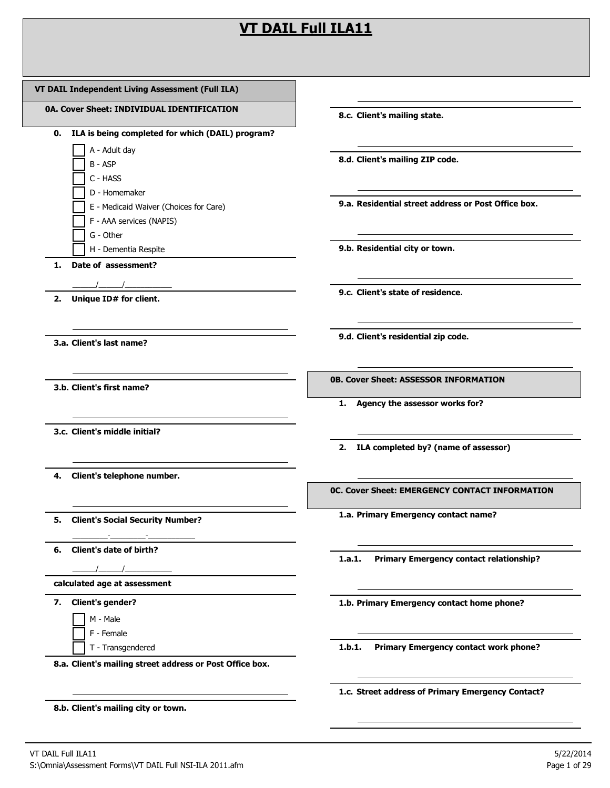## **VT DAIL Full ILA11**

| VT DAIL Independent Living Assessment (Full ILA)         |                                                                                                            |
|----------------------------------------------------------|------------------------------------------------------------------------------------------------------------|
| 0A. Cover Sheet: INDIVIDUAL IDENTIFICATION               | the control of the control of the control of the control of the control of<br>8.c. Client's mailing state. |
| ILA is being completed for which (DAIL) program?<br>0.   |                                                                                                            |
| A - Adult day                                            |                                                                                                            |
| B - ASP                                                  | 8.d. Client's mailing ZIP code.                                                                            |
| C - HASS                                                 |                                                                                                            |
| D - Homemaker                                            |                                                                                                            |
| E - Medicaid Waiver (Choices for Care)                   | 9.a. Residential street address or Post Office box.                                                        |
| F - AAA services (NAPIS)                                 |                                                                                                            |
| G - Other                                                |                                                                                                            |
| H - Dementia Respite                                     | 9.b. Residential city or town.                                                                             |
| Date of assessment?<br>1.                                |                                                                                                            |
|                                                          | 9.c. Client's state of residence.                                                                          |
| 2. Unique ID# for client.                                |                                                                                                            |
| 3.a. Client's last name?                                 | 9.d. Client's residential zip code.                                                                        |
| 3.b. Client's first name?                                | 1. Agency the assessor works for?                                                                          |
| 3.c. Client's middle initial?                            | 2. ILA completed by? (name of assessor)                                                                    |
|                                                          |                                                                                                            |
| Client's telephone number.<br>4.                         |                                                                                                            |
|                                                          | OC. Cover Sheet: EMERGENCY CONTACT INFORMATION                                                             |
| 5. Client's Social Security Number?                      | 1.a. Primary Emergency contact name?                                                                       |
| 6. Client's date of birth?                               |                                                                                                            |
|                                                          | <b>Primary Emergency contact relationship?</b><br>1.a.1.                                                   |
| calculated age at assessment                             |                                                                                                            |
| 7. Client's gender?                                      | 1.b. Primary Emergency contact home phone?                                                                 |
| M - Male                                                 |                                                                                                            |
| F - Female                                               |                                                                                                            |
| T - Transgendered                                        | Primary Emergency contact work phone?<br>1.b.1.                                                            |
| 8.a. Client's mailing street address or Post Office box. |                                                                                                            |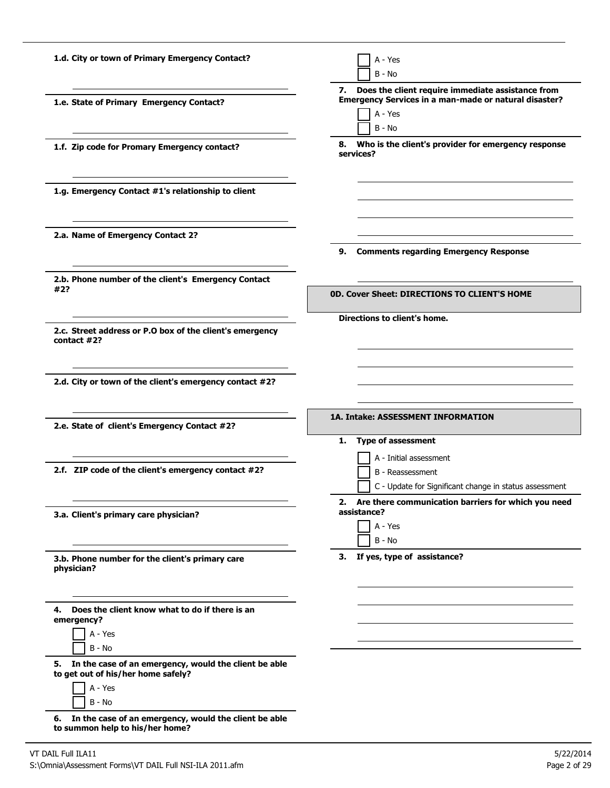| 1.d. City or town of Primary Emergency Contact?                                                                               | A - Yes<br>$B - No$                                                                                                                     |
|-------------------------------------------------------------------------------------------------------------------------------|-----------------------------------------------------------------------------------------------------------------------------------------|
| 1.e. State of Primary Emergency Contact?                                                                                      | Does the client require immediate assistance from<br>7.<br>Emergency Services in a man-made or natural disaster?<br>A - Yes<br>$B - No$ |
| 1.f. Zip code for Promary Emergency contact?                                                                                  | 8. Who is the client's provider for emergency response<br>services?                                                                     |
| 1.g. Emergency Contact #1's relationship to client                                                                            |                                                                                                                                         |
| 2.a. Name of Emergency Contact 2?                                                                                             | 9. Comments regarding Emergency Response                                                                                                |
| 2.b. Phone number of the client's Emergency Contact<br>#2?                                                                    | <b>0D. Cover Sheet: DIRECTIONS TO CLIENT'S HOME</b>                                                                                     |
| 2.c. Street address or P.O box of the client's emergency<br>contact $#2?$                                                     | Directions to client's home.                                                                                                            |
| 2.d. City or town of the client's emergency contact #2?                                                                       |                                                                                                                                         |
|                                                                                                                               |                                                                                                                                         |
| 2.e. State of client's Emergency Contact #2?                                                                                  | 1A. Intake: ASSESSMENT INFORMATION<br><b>Type of assessment</b><br>1.                                                                   |
| 2.f. ZIP code of the client's emergency contact #2?                                                                           | A - Initial assessment<br>B - Reassessment<br>C - Update for Significant change in status assessment                                    |
| 3.a. Client's primary care physician?                                                                                         | 2. Are there communication barriers for which you need<br>assistance?<br>A - Yes<br>$B - No$                                            |
| 3.b. Phone number for the client's primary care<br>physician?                                                                 | 3. If yes, type of assistance?                                                                                                          |
| 4. Does the client know what to do if there is an<br>emergency?<br>A - Yes                                                    |                                                                                                                                         |
| B - No<br>5. In the case of an emergency, would the client be able<br>to get out of his/her home safely?<br>A - Yes<br>B - No |                                                                                                                                         |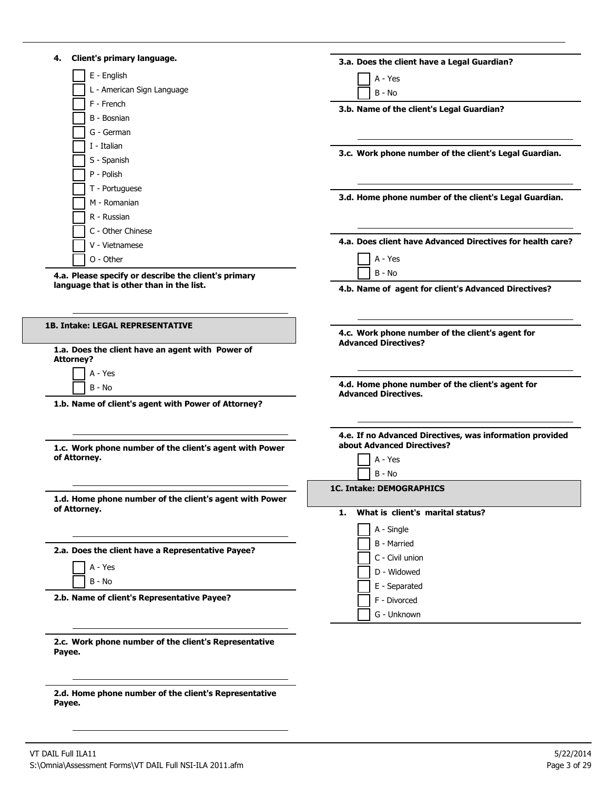| Client's primary language.<br>4.                                        | 3.a. Does the client have a Legal Guardian?                                     |
|-------------------------------------------------------------------------|---------------------------------------------------------------------------------|
| E - English                                                             | A - Yes                                                                         |
| L - American Sign Language                                              | $B - No$                                                                        |
| F - French                                                              | 3.b. Name of the client's Legal Guardian?                                       |
| B - Bosnian                                                             |                                                                                 |
| G - German                                                              |                                                                                 |
| I - Italian                                                             | 3.c. Work phone number of the client's Legal Guardian.                          |
| S - Spanish                                                             |                                                                                 |
| P - Polish                                                              |                                                                                 |
| T - Portuguese                                                          | 3.d. Home phone number of the client's Legal Guardian.                          |
| M - Romanian                                                            |                                                                                 |
| R - Russian                                                             |                                                                                 |
| C - Other Chinese                                                       |                                                                                 |
| V - Vietnamese                                                          | 4.a. Does client have Advanced Directives for health care?                      |
| O - Other                                                               | A - Yes                                                                         |
| 4.a. Please specify or describe the client's primary                    | $B - No$                                                                        |
| language that is other than in the list.                                | 4.b. Name of agent for client's Advanced Directives?                            |
|                                                                         |                                                                                 |
| <b>1B. Intake: LEGAL REPRESENTATIVE</b>                                 |                                                                                 |
|                                                                         | 4.c. Work phone number of the client's agent for<br><b>Advanced Directives?</b> |
| 1.a. Does the client have an agent with Power of                        |                                                                                 |
| <b>Attorney?</b>                                                        |                                                                                 |
| A - Yes                                                                 | 4.d. Home phone number of the client's agent for                                |
| B - No                                                                  | <b>Advanced Directives.</b>                                                     |
| 1.b. Name of client's agent with Power of Attorney?                     |                                                                                 |
|                                                                         | 4.e. If no Advanced Directives, was information provided                        |
| 1.c. Work phone number of the client's agent with Power                 | about Advanced Directives?                                                      |
| of Attorney.                                                            | A - Yes                                                                         |
|                                                                         | $B - No$                                                                        |
|                                                                         | <b>1C. Intake: DEMOGRAPHICS</b>                                                 |
| 1.d. Home phone number of the client's agent with Power<br>of Attorney. | What is client's marital status?                                                |
|                                                                         | 1.                                                                              |
|                                                                         | A - Single                                                                      |
| 2.a. Does the client have a Representative Payee?                       | <b>B</b> - Married                                                              |
| A - Yes                                                                 | C - Civil union                                                                 |
| B - No                                                                  | D - Widowed                                                                     |
|                                                                         | E - Separated                                                                   |
| 2.b. Name of client's Representative Payee?                             | F - Divorced                                                                    |
|                                                                         | G - Unknown                                                                     |
|                                                                         |                                                                                 |
| 2.c. Work phone number of the client's Representative<br>Payee.         |                                                                                 |
|                                                                         |                                                                                 |
|                                                                         |                                                                                 |
| 2.d. Home phone number of the client's Representative                   |                                                                                 |

**Payee.**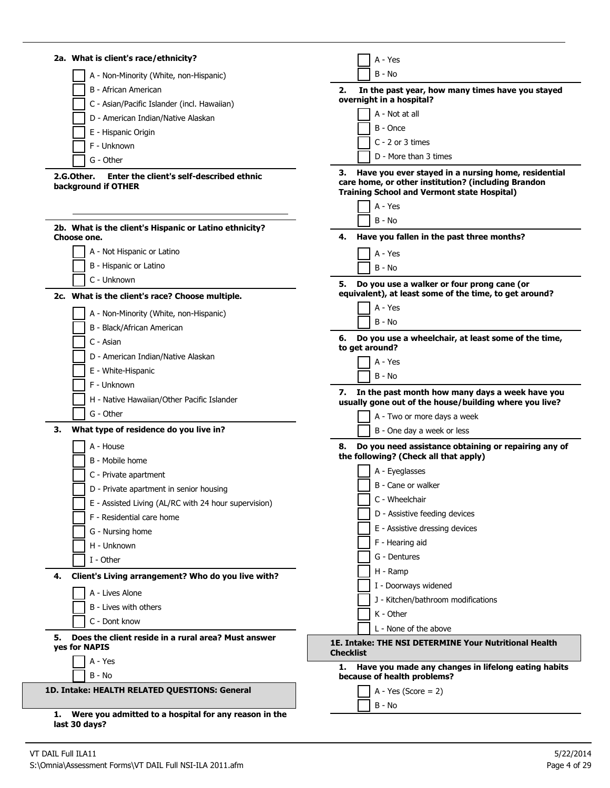| 2a. What is client's race/ethnicity?                                              | A - Yes                                                                                                      |
|-----------------------------------------------------------------------------------|--------------------------------------------------------------------------------------------------------------|
| A - Non-Minority (White, non-Hispanic)                                            | $B - No$                                                                                                     |
| B - African American                                                              | In the past year, how many times have you stayed<br>2.                                                       |
| C - Asian/Pacific Islander (incl. Hawaiian)                                       | overnight in a hospital?                                                                                     |
| D - American Indian/Native Alaskan                                                | A - Not at all                                                                                               |
| E - Hispanic Origin                                                               | B - Once                                                                                                     |
| F - Unknown                                                                       | $C - 2$ or 3 times                                                                                           |
| G - Other                                                                         | D - More than 3 times                                                                                        |
| Enter the client's self-described ethnic<br>2.G.Other.                            | Have you ever stayed in a nursing home, residential                                                          |
| background if OTHER                                                               | care home, or other institution? (including Brandon<br><b>Training School and Vermont state Hospital)</b>    |
|                                                                                   | A - Yes                                                                                                      |
| 2b. What is the client's Hispanic or Latino ethnicity?                            | B - No                                                                                                       |
| Choose one.                                                                       | Have you fallen in the past three months?<br>4.                                                              |
| A - Not Hispanic or Latino                                                        | A - Yes                                                                                                      |
| B - Hispanic or Latino                                                            | $B - No$                                                                                                     |
| C - Unknown                                                                       | Do you use a walker or four prong cane (or<br>5.                                                             |
| 2c. What is the client's race? Choose multiple.                                   | equivalent), at least some of the time, to get around?                                                       |
| A - Non-Minority (White, non-Hispanic)                                            | A - Yes                                                                                                      |
| B - Black/African American                                                        | $B - No$                                                                                                     |
| C - Asian                                                                         | 6. Do you use a wheelchair, at least some of the time,                                                       |
| D - American Indian/Native Alaskan                                                | to get around?                                                                                               |
| E - White-Hispanic                                                                | A - Yes                                                                                                      |
| F - Unknown                                                                       | B - No                                                                                                       |
| H - Native Hawaiian/Other Pacific Islander                                        | 7. In the past month how many days a week have you<br>usually gone out of the house/building where you live? |
| G - Other                                                                         | A - Two or more days a week                                                                                  |
| What type of residence do you live in?<br>з.                                      | B - One day a week or less                                                                                   |
| A - House                                                                         | Do you need assistance obtaining or repairing any of<br>8.                                                   |
| B - Mobile home                                                                   | the following? (Check all that apply)                                                                        |
| C - Private apartment                                                             | A - Eyeglasses                                                                                               |
| D - Private apartment in senior housing                                           | B - Cane or walker                                                                                           |
| E - Assisted Living (AL/RC with 24 hour supervision)                              | C - Wheelchair                                                                                               |
| F - Residential care home                                                         | D - Assistive feeding devices                                                                                |
| G - Nursing home                                                                  | E - Assistive dressing devices                                                                               |
| H - Unknown                                                                       | F - Hearing aid                                                                                              |
| I - Other                                                                         | G - Dentures                                                                                                 |
|                                                                                   | H - Ramp                                                                                                     |
| Client's Living arrangement? Who do you live with?<br>4.                          | I - Doorways widened                                                                                         |
| A - Lives Alone                                                                   | J - Kitchen/bathroom modifications                                                                           |
| B - Lives with others                                                             | K - Other                                                                                                    |
| C - Dont know                                                                     | L - None of the above                                                                                        |
| Does the client reside in a rural area? Must answer<br>5.<br><b>yes for NAPIS</b> | 1E. Intake: THE NSI DETERMINE Your Nutritional Health<br><b>Checklist</b>                                    |
| A - Yes                                                                           | Have you made any changes in lifelong eating habits                                                          |
| $B - No$                                                                          | because of health problems?                                                                                  |
| 1D. Intake: HEALTH RELATED QUESTIONS: General                                     | $A - Yes (Score = 2)$                                                                                        |
|                                                                                   | B - No                                                                                                       |
| Were you admitted to a hospital for any reason in the<br>1.<br>last 30 days?      |                                                                                                              |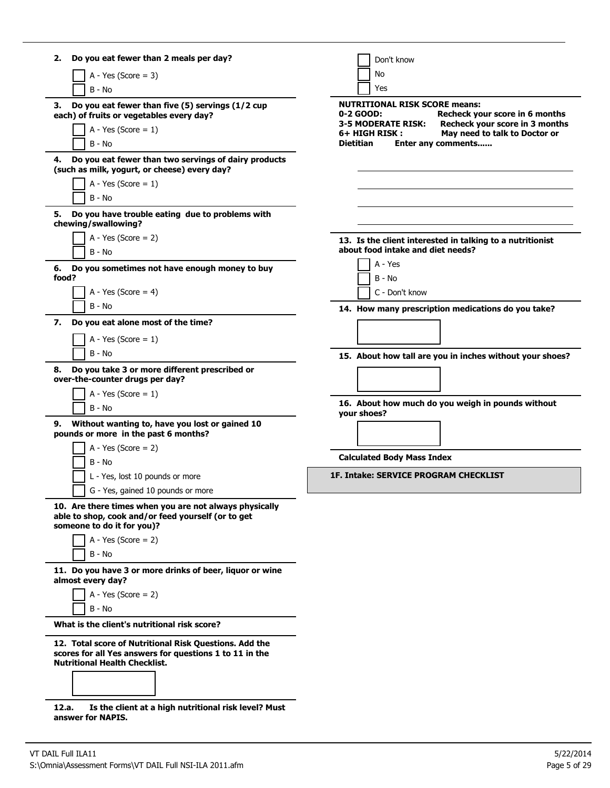| Do you eat fewer than 2 meals per day?<br>2.                                                                                                              | Don't know                                                                                          |
|-----------------------------------------------------------------------------------------------------------------------------------------------------------|-----------------------------------------------------------------------------------------------------|
| $A - Yes (Score = 3)$                                                                                                                                     | No                                                                                                  |
| $B - No$                                                                                                                                                  | <b>Yes</b>                                                                                          |
| Do you eat fewer than five (5) servings (1/2 cup<br>З.                                                                                                    | <b>NUTRITIONAL RISK SCORE means:</b>                                                                |
| each) of fruits or vegetables every day?                                                                                                                  | Recheck your score in 6 months<br>0-2 GOOD:<br>Recheck your score in 3 months<br>3-5 MODERATE RISK: |
| A - Yes (Score = $1$ )                                                                                                                                    | May need to talk to Doctor or<br>6+ HIGH RISK :                                                     |
| B - No                                                                                                                                                    | <b>Dietitian</b><br>Enter any comments                                                              |
| Do you eat fewer than two servings of dairy products<br>4.<br>(such as milk, yogurt, or cheese) every day?                                                |                                                                                                     |
| A - Yes (Score = $1$ )                                                                                                                                    |                                                                                                     |
| B - No                                                                                                                                                    |                                                                                                     |
| Do you have trouble eating due to problems with<br>5.<br>chewing/swallowing?                                                                              |                                                                                                     |
| A - Yes (Score = $2$ )                                                                                                                                    | 13. Is the client interested in talking to a nutritionist                                           |
| B - No                                                                                                                                                    | about food intake and diet needs?                                                                   |
|                                                                                                                                                           | A - Yes                                                                                             |
| Do you sometimes not have enough money to buy<br>6.<br>food?                                                                                              | B - No                                                                                              |
| A - Yes (Score = $4$ )                                                                                                                                    | C - Don't know                                                                                      |
| B - No                                                                                                                                                    |                                                                                                     |
| 7.<br>Do you eat alone most of the time?                                                                                                                  | 14. How many prescription medications do you take?                                                  |
|                                                                                                                                                           |                                                                                                     |
| A - Yes (Score = $1$ )                                                                                                                                    |                                                                                                     |
| B - No                                                                                                                                                    | 15. About how tall are you in inches without your shoes?                                            |
| Do you take 3 or more different prescribed or<br>8.<br>over-the-counter drugs per day?                                                                    |                                                                                                     |
| A - Yes (Score = $1$ )                                                                                                                                    |                                                                                                     |
| B - No                                                                                                                                                    | 16. About how much do you weigh in pounds without<br>your shoes?                                    |
| Without wanting to, have you lost or gained 10<br>9.<br>pounds or more in the past 6 months?                                                              |                                                                                                     |
| A - Yes (Score = $2$ )                                                                                                                                    |                                                                                                     |
| B - No                                                                                                                                                    | <b>Calculated Body Mass Index</b>                                                                   |
| L - Yes, lost 10 pounds or more                                                                                                                           | <b>1F. Intake: SERVICE PROGRAM CHECKLIST</b>                                                        |
| G - Yes, gained 10 pounds or more                                                                                                                         |                                                                                                     |
| 10. Are there times when you are not always physically<br>able to shop, cook and/or feed yourself (or to get                                              |                                                                                                     |
| someone to do it for you)?                                                                                                                                |                                                                                                     |
| $A - Yes (Score = 2)$                                                                                                                                     |                                                                                                     |
| B - No                                                                                                                                                    |                                                                                                     |
| 11. Do you have 3 or more drinks of beer, liquor or wine<br>almost every day?                                                                             |                                                                                                     |
| $A - Yes$ (Score = 2)                                                                                                                                     |                                                                                                     |
| $B - No$                                                                                                                                                  |                                                                                                     |
| What is the client's nutritional risk score?                                                                                                              |                                                                                                     |
| 12. Total score of Nutritional Risk Questions. Add the<br>scores for all Yes answers for questions 1 to 11 in the<br><b>Nutritional Health Checklist.</b> |                                                                                                     |
| Is the client at a high nutritional risk level? Must<br>12.a.<br>answer for NAPIS.                                                                        |                                                                                                     |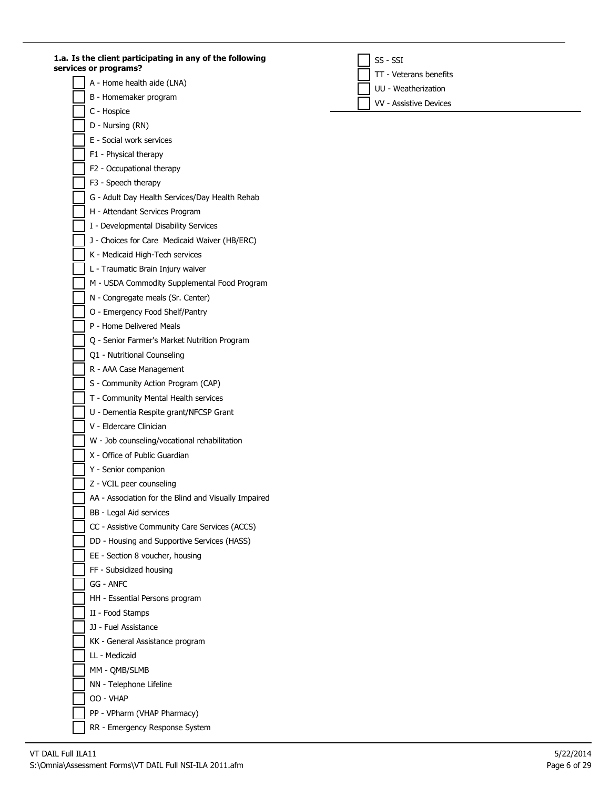**1.a. Is the client participating in any of the following services or programs?**

- A Home health aide (LNA)
- B Homemaker program
- C Hospice
- D Nursing (RN)
- E Social work services
- F1 Physical therapy
- F2 Occupational therapy
- F3 Speech therapy
- G Adult Day Health Services/Day Health Rehab
- H Attendant Services Program
- I Developmental Disability Services
- J Choices for Care Medicaid Waiver (HB/ERC)
- K Medicaid High-Tech services
- L Traumatic Brain Injury waiver
- M USDA Commodity Supplemental Food Program
- N Congregate meals (Sr. Center)
- O Emergency Food Shelf/Pantry
- P Home Delivered Meals
- Q Senior Farmer's Market Nutrition Program
- Q1 Nutritional Counseling
- R AAA Case Management
- S Community Action Program (CAP)
- T Community Mental Health services
- U Dementia Respite grant/NFCSP Grant
- V Eldercare Clinician
- W Job counseling/vocational rehabilitation
- X Office of Public Guardian
- Y Senior companion
- Z VCIL peer counseling
- AA Association for the Blind and Visually Impaired
- BB Legal Aid services
- CC Assistive Community Care Services (ACCS)
- DD Housing and Supportive Services (HASS)
- EE Section 8 voucher, housing
- FF Subsidized housing
- GG ANFC
- HH Essential Persons program
- II Food Stamps
- JJ Fuel Assistance
- KK General Assistance program
- LL Medicaid
- MM QMB/SLMB
- NN Telephone Lifeline
- OO VHAP
- PP VPharm (VHAP Pharmacy)
- RR Emergency Response System
- VT DAIL Full ILA11 S:\Omnia\Assessment Forms\VT DAIL Full NSI-ILA 2011.afm **Page 6** of 29

SS - SSI

TT - Veterans benefits

UU - Weatherization

VV - Assistive Devices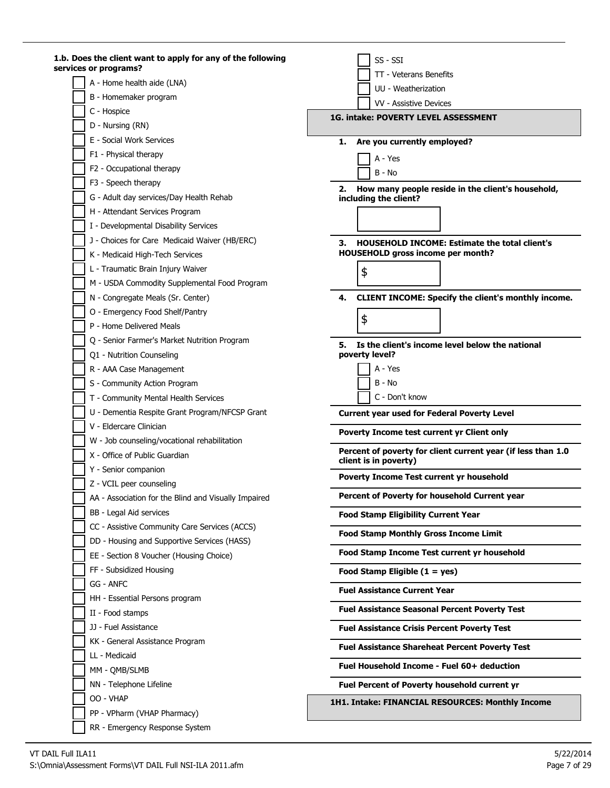| 1.b. Does the client want to apply for any of the following<br>services or programs?   | SS - SSI                                                                                               |
|----------------------------------------------------------------------------------------|--------------------------------------------------------------------------------------------------------|
| A - Home health aide (LNA)                                                             | TT - Veterans Benefits                                                                                 |
| B - Homemaker program                                                                  | UU - Weatherization                                                                                    |
| C - Hospice                                                                            | VV - Assistive Devices                                                                                 |
| D - Nursing (RN)                                                                       | 1G. intake: POVERTY LEVEL ASSESSMENT                                                                   |
| E - Social Work Services                                                               | Are you currently employed?<br>1.                                                                      |
| F1 - Physical therapy                                                                  |                                                                                                        |
| F2 - Occupational therapy                                                              | A - Yes                                                                                                |
| F3 - Speech therapy                                                                    | $B - No$                                                                                               |
| G - Adult day services/Day Health Rehab                                                | How many people reside in the client's household,<br>2.                                                |
| H - Attendant Services Program                                                         | including the client?                                                                                  |
| I - Developmental Disability Services                                                  |                                                                                                        |
| J - Choices for Care Medicaid Waiver (HB/ERC)                                          |                                                                                                        |
|                                                                                        | <b>HOUSEHOLD INCOME: Estimate the total client's</b><br>З.<br><b>HOUSEHOLD gross income per month?</b> |
| K - Medicaid High-Tech Services                                                        |                                                                                                        |
| L - Traumatic Brain Injury Waiver                                                      | \$                                                                                                     |
| M - USDA Commodity Supplemental Food Program                                           |                                                                                                        |
| N - Congregate Meals (Sr. Center)                                                      | <b>CLIENT INCOME: Specify the client's monthly income.</b><br>4.                                       |
| O - Emergency Food Shelf/Pantry                                                        | \$                                                                                                     |
| P - Home Delivered Meals                                                               |                                                                                                        |
| Q - Senior Farmer's Market Nutrition Program                                           | 5. Is the client's income level below the national                                                     |
| Q1 - Nutrition Counseling                                                              | poverty level?                                                                                         |
| R - AAA Case Management                                                                | A - Yes                                                                                                |
| S - Community Action Program                                                           | B - No                                                                                                 |
| T - Community Mental Health Services                                                   | C - Don't know                                                                                         |
| U - Dementia Respite Grant Program/NFCSP Grant                                         | <b>Current year used for Federal Poverty Level</b>                                                     |
| V - Eldercare Clinician                                                                | Poverty Income test current yr Client only                                                             |
| W - Job counseling/vocational rehabilitation                                           | Percent of poverty for client current year (if less than 1.0                                           |
| X - Office of Public Guardian                                                          | client is in poverty)                                                                                  |
| Y - Senior companion                                                                   | <b>Poverty Income Test current yr household</b>                                                        |
| Z - VCIL peer counseling                                                               | Percent of Poverty for household Current year                                                          |
| AA - Association for the Blind and Visually Impaired                                   |                                                                                                        |
| BB - Legal Aid services                                                                | <b>Food Stamp Eligibility Current Year</b>                                                             |
| CC - Assistive Community Care Services (ACCS)                                          | <b>Food Stamp Monthly Gross Income Limit</b>                                                           |
| DD - Housing and Supportive Services (HASS)<br>EE - Section 8 Voucher (Housing Choice) | Food Stamp Income Test current yr household                                                            |
| FF - Subsidized Housing                                                                |                                                                                                        |
| GG - ANFC                                                                              | Food Stamp Eligible $(1 = yes)$                                                                        |
| HH - Essential Persons program                                                         | <b>Fuel Assistance Current Year</b>                                                                    |
| II - Food stamps                                                                       | <b>Fuel Assistance Seasonal Percent Poverty Test</b>                                                   |
| JJ - Fuel Assistance                                                                   | <b>Fuel Assistance Crisis Percent Poverty Test</b>                                                     |
| KK - General Assistance Program                                                        |                                                                                                        |
| LL - Medicaid                                                                          | <b>Fuel Assistance Shareheat Percent Poverty Test</b>                                                  |
| MM - QMB/SLMB                                                                          | Fuel Household Income - Fuel 60+ deduction                                                             |
| NN - Telephone Lifeline                                                                | Fuel Percent of Poverty household current yr                                                           |
| OO - VHAP                                                                              | 1H1. Intake: FINANCIAL RESOURCES: Monthly Income                                                       |
| PP - VPharm (VHAP Pharmacy)                                                            |                                                                                                        |
| RR - Emergency Response System                                                         |                                                                                                        |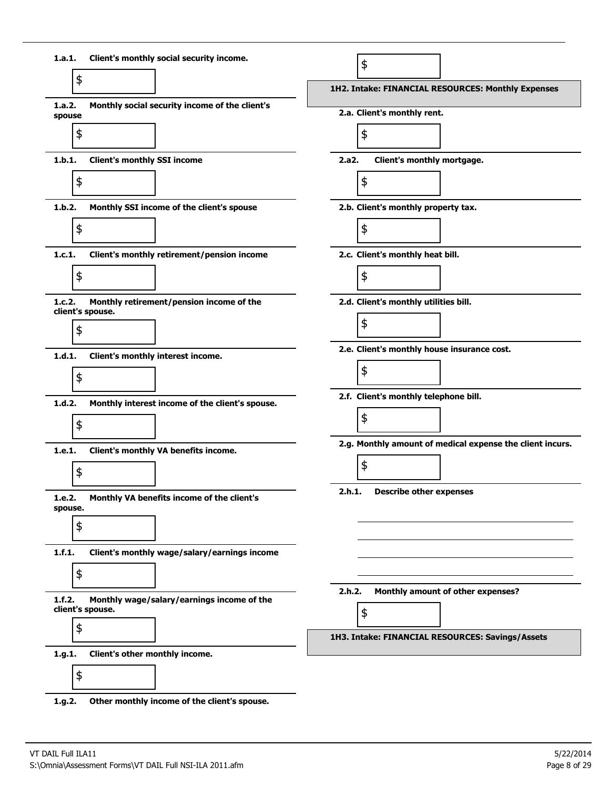

**1.g.2. Other monthly income of the client's spouse.**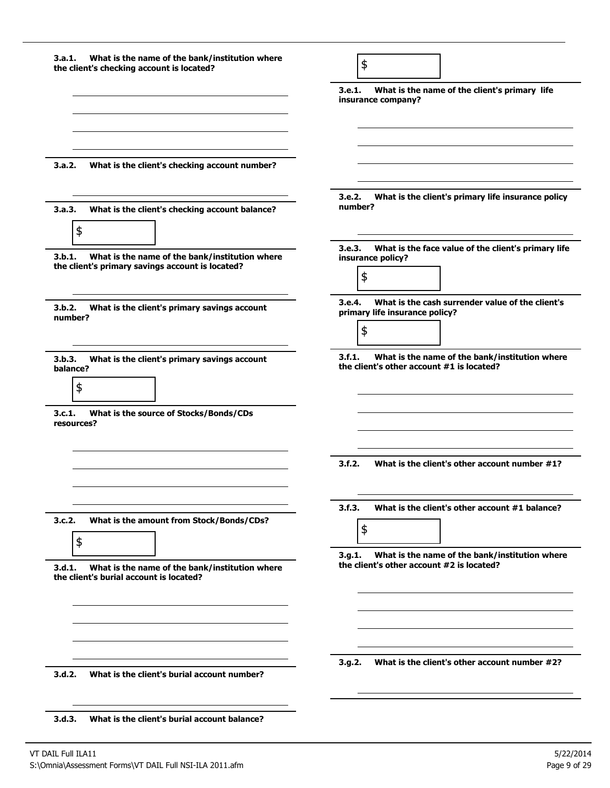| What is the name of the bank/institution where<br>3.a.1.<br>the client's checking account is located?        | \$                                                                                                    |
|--------------------------------------------------------------------------------------------------------------|-------------------------------------------------------------------------------------------------------|
|                                                                                                              | What is the name of the client's primary life<br>3.e.1.<br>insurance company?                         |
| 3.a.2.                                                                                                       |                                                                                                       |
| What is the client's checking account number?                                                                |                                                                                                       |
| 3.a.3.<br>What is the client's checking account balance?<br>\$                                               | 3.e.2. What is the client's primary life insurance policy<br>number?                                  |
| 3.b.1.<br>What is the name of the bank/institution where<br>the client's primary savings account is located? | What is the face value of the client's primary life<br>3.e.3.<br>insurance policy?<br>\$              |
| 3.b.2.<br>What is the client's primary savings account<br>number?                                            | What is the cash surrender value of the client's<br>3.e.4.<br>primary life insurance policy?<br>\$    |
| 3.b.3.<br>What is the client's primary savings account<br>balance?<br>\$                                     | What is the name of the bank/institution where<br>3.f.1.<br>the client's other account #1 is located? |
| 3.c.1.<br>What is the source of Stocks/Bonds/CDs<br>resources?                                               |                                                                                                       |
|                                                                                                              | 3.f.2.<br>What is the client's other account number #1?                                               |
|                                                                                                              | 3.f.3.<br>What is the client's other account #1 balance?                                              |
| 3.c.2.<br>What is the amount from Stock/Bonds/CDs?<br>\$                                                     | \$                                                                                                    |
| 3.d.1.<br>What is the name of the bank/institution where<br>the client's burial account is located?          | 3.9.1.<br>What is the name of the bank/institution where<br>the client's other account #2 is located? |
|                                                                                                              |                                                                                                       |
| 3.d.2.<br>What is the client's burial account number?                                                        | What is the client's other account number #2?<br>3.g.2.                                               |
| What is the client's burial account balance?<br>3.d.3.                                                       |                                                                                                       |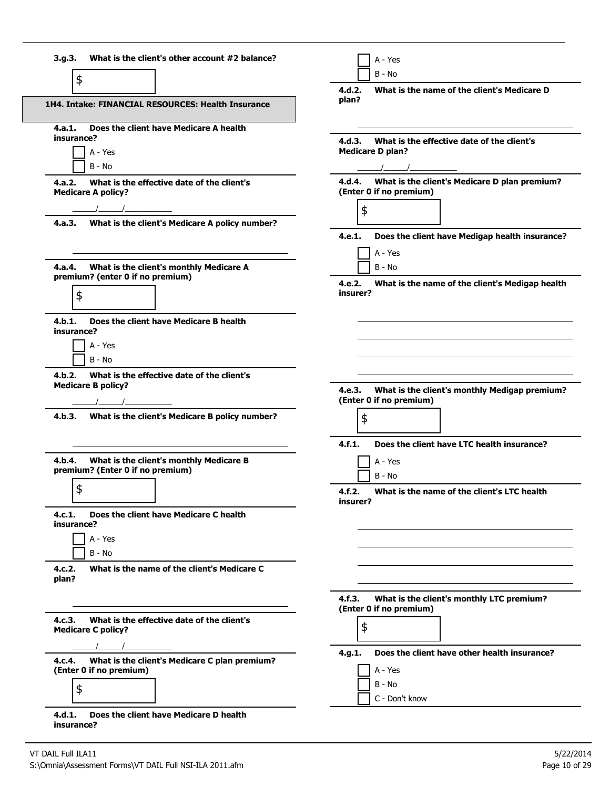| \$<br>1H4. Intake: FINANCIAL RESOURCES: Health Insurance                                 | What is the name of the client's Medicare D<br>4.d.2.<br>plan?                  |
|------------------------------------------------------------------------------------------|---------------------------------------------------------------------------------|
|                                                                                          |                                                                                 |
| Does the client have Medicare A health<br>4.a.1.<br>insurance?                           | What is the effective date of the client's<br>4.d.3.                            |
| A - Yes<br>$B - No$                                                                      | <b>Medicare D plan?</b><br>$\frac{1}{2}$                                        |
| What is the effective date of the client's<br>4.a.2.<br><b>Medicare A policy?</b>        | 4.d.4. What is the client's Medicare D plan premium?<br>(Enter 0 if no premium) |
|                                                                                          | \$                                                                              |
| What is the client's Medicare A policy number?<br>4.a.3.                                 |                                                                                 |
|                                                                                          | 4.e.1.<br>Does the client have Medigap health insurance?                        |
|                                                                                          | A - Yes                                                                         |
| What is the client's monthly Medicare A<br>4.a.4.<br>premium? (enter 0 if no premium)    | B - No                                                                          |
| \$                                                                                       | What is the name of the client's Medigap health<br>4.e.2.<br>insurer?           |
| Does the client have Medicare B health<br>4.b.1.<br>insurance?                           |                                                                                 |
| A - Yes                                                                                  |                                                                                 |
| $B - No$                                                                                 |                                                                                 |
| 4.b.2.<br>What is the effective date of the client's<br><b>Medicare B policy?</b>        | 4.e.3. What is the client's monthly Medigap premium?                            |
|                                                                                          | (Enter 0 if no premium)                                                         |
| 4.b.3.<br>What is the client's Medicare B policy number?                                 | \$                                                                              |
|                                                                                          | Does the client have LTC health insurance?<br>4.f.1.                            |
| What is the client's monthly Medicare B<br>4.b.4.<br>premium? (Enter 0 if no premium)    | A - Yes<br>B - No                                                               |
| ¢                                                                                        | What is the name of the client's LTC health<br>4.f.2.<br>insurer?               |
| Does the client have Medicare C health<br>4.c.1.<br>insurance?                           |                                                                                 |
| A - Yes                                                                                  |                                                                                 |
| $B - No$                                                                                 |                                                                                 |
| What is the name of the client's Medicare C<br>4.c.2.<br>plan?                           |                                                                                 |
|                                                                                          | What is the client's monthly LTC premium?<br>4.f.3.<br>(Enter 0 if no premium)  |
| What is the effective date of the client's<br>4.c.3.<br><b>Medicare C policy?</b>        | \$                                                                              |
|                                                                                          | Does the client have other health insurance?<br>4.g.1.                          |
|                                                                                          |                                                                                 |
| What is the client's Medicare C plan premium?<br>4.c.4.<br>(Enter 0 if no premium)<br>\$ | A - Yes<br>B - No                                                               |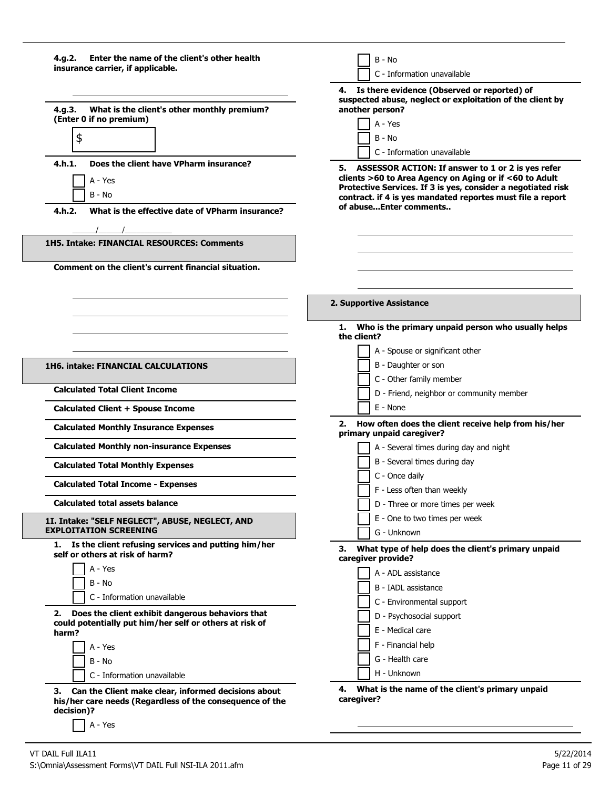| Enter the name of the client's other health<br>4.g.2.<br>insurance carrier, if applicable.<br>What is the client's other monthly premium?<br>4.q.3.<br>(Enter 0 if no premium)<br>\$<br>Does the client have VPharm insurance?<br>4.h.1.<br>A - Yes<br>B - No<br>4.h.2.<br>What is the effective date of VPharm insurance? | B - No<br>C - Information unavailable<br>4. Is there evidence (Observed or reported) of<br>suspected abuse, neglect or exploitation of the client by<br>another person?<br>A - Yes<br>B - No<br>C - Information unavailable<br>5. ASSESSOR ACTION: If answer to 1 or 2 is yes refer<br>clients >60 to Area Agency on Aging or if <60 to Adult<br>Protective Services. If 3 is yes, consider a negotiated risk<br>contract. if 4 is yes mandated reportes must file a report<br>of abuseEnter comments |
|----------------------------------------------------------------------------------------------------------------------------------------------------------------------------------------------------------------------------------------------------------------------------------------------------------------------------|-------------------------------------------------------------------------------------------------------------------------------------------------------------------------------------------------------------------------------------------------------------------------------------------------------------------------------------------------------------------------------------------------------------------------------------------------------------------------------------------------------|
| 1H5. Intake: FINANCIAL RESOURCES: Comments                                                                                                                                                                                                                                                                                 |                                                                                                                                                                                                                                                                                                                                                                                                                                                                                                       |
| Comment on the client's current financial situation.                                                                                                                                                                                                                                                                       |                                                                                                                                                                                                                                                                                                                                                                                                                                                                                                       |
|                                                                                                                                                                                                                                                                                                                            |                                                                                                                                                                                                                                                                                                                                                                                                                                                                                                       |
|                                                                                                                                                                                                                                                                                                                            | 2. Supportive Assistance                                                                                                                                                                                                                                                                                                                                                                                                                                                                              |
|                                                                                                                                                                                                                                                                                                                            | Who is the primary unpaid person who usually helps<br>1.<br>the client?                                                                                                                                                                                                                                                                                                                                                                                                                               |
|                                                                                                                                                                                                                                                                                                                            | A - Spouse or significant other                                                                                                                                                                                                                                                                                                                                                                                                                                                                       |
| <b>1H6. intake: FINANCIAL CALCULATIONS</b>                                                                                                                                                                                                                                                                                 | B - Daughter or son                                                                                                                                                                                                                                                                                                                                                                                                                                                                                   |
| <b>Calculated Total Client Income</b>                                                                                                                                                                                                                                                                                      | C - Other family member<br>D - Friend, neighbor or community member                                                                                                                                                                                                                                                                                                                                                                                                                                   |
| <b>Calculated Client + Spouse Income</b>                                                                                                                                                                                                                                                                                   | E - None                                                                                                                                                                                                                                                                                                                                                                                                                                                                                              |
| <b>Calculated Monthly Insurance Expenses</b>                                                                                                                                                                                                                                                                               | How often does the client receive help from his/her<br>primary unpaid caregiver?                                                                                                                                                                                                                                                                                                                                                                                                                      |
| <b>Calculated Monthly non-insurance Expenses</b>                                                                                                                                                                                                                                                                           | A - Several times during day and night                                                                                                                                                                                                                                                                                                                                                                                                                                                                |
| <b>Calculated Total Monthly Expenses</b>                                                                                                                                                                                                                                                                                   | B - Several times during day                                                                                                                                                                                                                                                                                                                                                                                                                                                                          |
| <b>Calculated Total Income - Expenses</b>                                                                                                                                                                                                                                                                                  | C - Once daily<br>F - Less often than weekly                                                                                                                                                                                                                                                                                                                                                                                                                                                          |
| <b>Calculated total assets balance</b>                                                                                                                                                                                                                                                                                     | D - Three or more times per week                                                                                                                                                                                                                                                                                                                                                                                                                                                                      |
| 1I. Intake: "SELF NEGLECT", ABUSE, NEGLECT, AND                                                                                                                                                                                                                                                                            | E - One to two times per week                                                                                                                                                                                                                                                                                                                                                                                                                                                                         |
| <b>EXPLOITATION SCREENING</b><br>1. Is the client refusing services and putting him/her                                                                                                                                                                                                                                    | G - Unknown<br>3. What type of help does the client's primary unpaid                                                                                                                                                                                                                                                                                                                                                                                                                                  |
| self or others at risk of harm?<br>A - Yes                                                                                                                                                                                                                                                                                 | caregiver provide?                                                                                                                                                                                                                                                                                                                                                                                                                                                                                    |
| B - No                                                                                                                                                                                                                                                                                                                     | A - ADL assistance                                                                                                                                                                                                                                                                                                                                                                                                                                                                                    |
| C - Information unavailable                                                                                                                                                                                                                                                                                                | B - IADL assistance<br>C - Environmental support                                                                                                                                                                                                                                                                                                                                                                                                                                                      |
| Does the client exhibit dangerous behaviors that<br>2.                                                                                                                                                                                                                                                                     | D - Psychosocial support                                                                                                                                                                                                                                                                                                                                                                                                                                                                              |
| could potentially put him/her self or others at risk of<br>harm?                                                                                                                                                                                                                                                           | E - Medical care                                                                                                                                                                                                                                                                                                                                                                                                                                                                                      |
| A - Yes                                                                                                                                                                                                                                                                                                                    | F - Financial help                                                                                                                                                                                                                                                                                                                                                                                                                                                                                    |
| B - No                                                                                                                                                                                                                                                                                                                     | G - Health care                                                                                                                                                                                                                                                                                                                                                                                                                                                                                       |
| C - Information unavailable                                                                                                                                                                                                                                                                                                | H - Unknown                                                                                                                                                                                                                                                                                                                                                                                                                                                                                           |
| 3. Can the Client make clear, informed decisions about<br>his/her care needs (Regardless of the consequence of the<br>decision)?<br>A - Yes                                                                                                                                                                                | What is the name of the client's primary unpaid<br>4.<br>caregiver?                                                                                                                                                                                                                                                                                                                                                                                                                                   |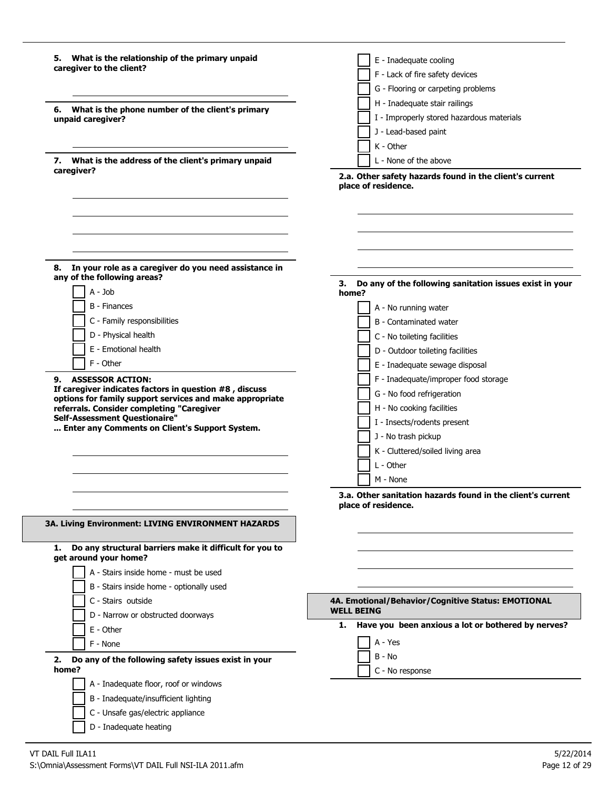| 5. What is the relationship of the primary unpaid<br>caregiver to the client?          | E - Inadequate cooling<br>F - Lack of fire safety devices                      |
|----------------------------------------------------------------------------------------|--------------------------------------------------------------------------------|
|                                                                                        | G - Flooring or carpeting problems                                             |
|                                                                                        | H - Inadequate stair railings                                                  |
| What is the phone number of the client's primary<br>6.                                 | I - Improperly stored hazardous materials                                      |
| unpaid caregiver?                                                                      | J - Lead-based paint                                                           |
|                                                                                        | K - Other                                                                      |
|                                                                                        | L - None of the above                                                          |
| 7. What is the address of the client's primary unpaid<br>caregiver?                    |                                                                                |
|                                                                                        | 2.a. Other safety hazards found in the client's current<br>place of residence. |
|                                                                                        |                                                                                |
|                                                                                        |                                                                                |
|                                                                                        |                                                                                |
|                                                                                        |                                                                                |
|                                                                                        |                                                                                |
| In your role as a caregiver do you need assistance in<br>8.                            |                                                                                |
| any of the following areas?                                                            | Do any of the following sanitation issues exist in your<br>3.                  |
| $A - Job$                                                                              | home?                                                                          |
| <b>B</b> - Finances                                                                    | A - No running water                                                           |
| C - Family responsibilities                                                            | B - Contaminated water                                                         |
| D - Physical health                                                                    | C - No toileting facilities                                                    |
| E - Emotional health                                                                   | D - Outdoor toileting facilities                                               |
| F - Other                                                                              | E - Inadequate sewage disposal                                                 |
| <b>ASSESSOR ACTION:</b><br>9.                                                          | F - Inadequate/improper food storage                                           |
| If caregiver indicates factors in question #8, discuss                                 | G - No food refrigeration                                                      |
| options for family support services and make appropriate                               |                                                                                |
| referrals. Consider completing "Caregiver<br>Self-Assessment Questionaire"             | H - No cooking facilities                                                      |
| Enter any Comments on Client's Support System.                                         | I - Insects/rodents present                                                    |
|                                                                                        | J - No trash pickup                                                            |
|                                                                                        | K - Cluttered/soiled living area                                               |
|                                                                                        | L - Other                                                                      |
|                                                                                        | M - None                                                                       |
|                                                                                        | 3.a. Other sanitation hazards found in the client's current                    |
|                                                                                        | place of residence.                                                            |
| <b>3A. Living Environment: LIVING ENVIRONMENT HAZARDS</b>                              |                                                                                |
|                                                                                        |                                                                                |
| Do any structural barriers make it difficult for you to<br>1.<br>get around your home? |                                                                                |
|                                                                                        |                                                                                |
| A - Stairs inside home - must be used                                                  |                                                                                |
| B - Stairs inside home - optionally used                                               |                                                                                |
| C - Stairs outside                                                                     | 4A. Emotional/Behavior/Cognitive Status: EMOTIONAL<br><b>WELL BEING</b>        |
| D - Narrow or obstructed doorways                                                      | Have you been anxious a lot or bothered by nerves?<br>1.                       |
| E - Other                                                                              |                                                                                |
| F - None                                                                               | A - Yes                                                                        |
| Do any of the following safety issues exist in your<br>2.                              | B - No                                                                         |
| home?                                                                                  | C - No response                                                                |
| A - Inadequate floor, roof or windows                                                  |                                                                                |
| B - Inadequate/insufficient lighting                                                   |                                                                                |
| C - Unsafe gas/electric appliance                                                      |                                                                                |
| D - Inadequate heating                                                                 |                                                                                |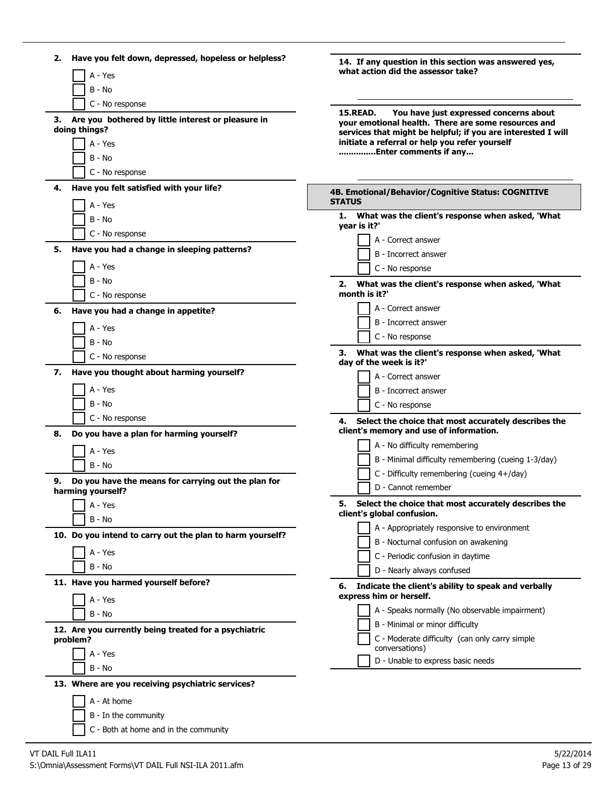| Have you felt down, depressed, hopeless or helpless?<br>2.<br>A - Yes                                                                          | 14. If any question in this section was answered yes,<br>what action did the assessor take?                                                                                                                                                                 |
|------------------------------------------------------------------------------------------------------------------------------------------------|-------------------------------------------------------------------------------------------------------------------------------------------------------------------------------------------------------------------------------------------------------------|
| B - No<br>C - No response<br>Are you bothered by little interest or pleasure in<br>з.<br>doing things?<br>A - Yes<br>B - No<br>C - No response | You have just expressed concerns about<br><b>15 READ.</b><br>your emotional health. There are some resources and<br>services that might be helpful; if you are interested I will<br>initiate a referral or help you refer yourself<br>Enter comments if any |
| Have you felt satisfied with your life?<br>4.                                                                                                  | 4B. Emotional/Behavior/Cognitive Status: COGNITIVE<br><b>STATUS</b>                                                                                                                                                                                         |
| A - Yes<br>B - No<br>C - No response<br>Have you had a change in sleeping patterns?<br>5.<br>A - Yes                                           | 1. What was the client's response when asked, 'What<br>year is it?'<br>A - Correct answer<br>B - Incorrect answer<br>C - No response                                                                                                                        |
| B - No<br>C - No response                                                                                                                      | 2. What was the client's response when asked, 'What<br>month is it?'                                                                                                                                                                                        |
| Have you had a change in appetite?<br>6.<br>A - Yes<br>B - No<br>C - No response                                                               | A - Correct answer<br>B - Incorrect answer<br>C - No response<br>What was the client's response when asked, 'What<br>3.                                                                                                                                     |
| Have you thought about harming yourself?<br>7.<br>A - Yes<br>B - No                                                                            | day of the week is it?'<br>A - Correct answer<br>B - Incorrect answer<br>C - No response                                                                                                                                                                    |
| C - No response<br>Do you have a plan for harming yourself?<br>8.<br>A - Yes<br>B - No                                                         | Select the choice that most accurately describes the<br>4.<br>client's memory and use of information.<br>A - No difficulty remembering<br>B - Minimal difficulty remembering (cueing 1-3/day)<br>C - Difficulty remembering (cueing 4+/day)                 |
| Do you have the means for carrying out the plan for<br>9.<br>harming yourself?                                                                 | D - Cannot remember                                                                                                                                                                                                                                         |
| A - Yes<br>B - No<br>10. Do you intend to carry out the plan to harm yourself?<br>A - Yes<br>B - No                                            | Select the choice that most accurately describes the<br>client's global confusion.<br>A - Appropriately responsive to environment<br>B - Nocturnal confusion on awakening<br>C - Periodic confusion in daytime<br>D - Nearly always confused                |
| 11. Have you harmed yourself before?<br>A - Yes<br>B - No                                                                                      | Indicate the client's ability to speak and verbally<br>express him or herself.<br>A - Speaks normally (No observable impairment)                                                                                                                            |
| 12. Are you currently being treated for a psychiatric<br>problem?<br>A - Yes<br>B - No                                                         | B - Minimal or minor difficulty<br>C - Moderate difficulty (can only carry simple<br>conversations)<br>D - Unable to express basic needs                                                                                                                    |
| 13. Where are you receiving psychiatric services?<br>A - At home<br>B - In the community<br>C - Both at home and in the community              |                                                                                                                                                                                                                                                             |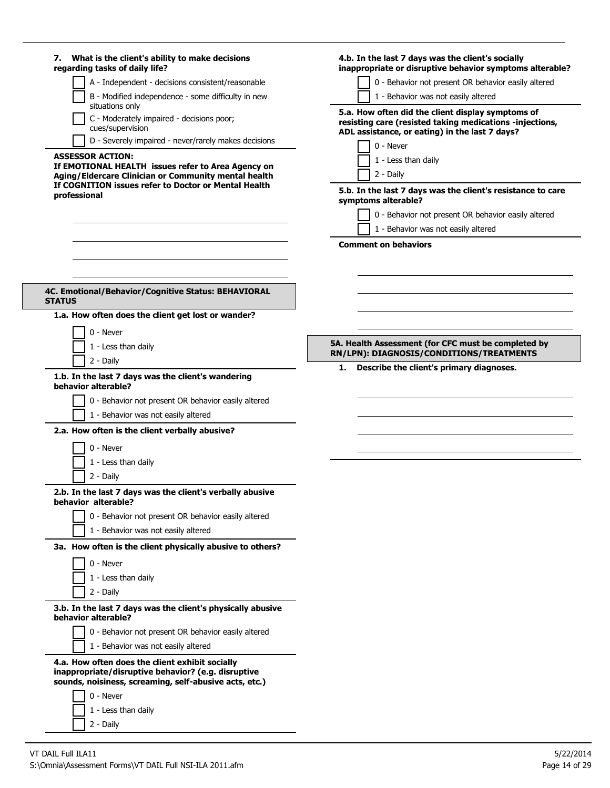| 7. What is the client's ability to make decisions<br>regarding tasks of daily life?                                                                                                                           | 4.b. In the last 7 days was the client's socially<br>inappropriate or disruptive behavior symptoms alterable?                                                                                                                                       |
|---------------------------------------------------------------------------------------------------------------------------------------------------------------------------------------------------------------|-----------------------------------------------------------------------------------------------------------------------------------------------------------------------------------------------------------------------------------------------------|
| A - Independent - decisions consistent/reasonable                                                                                                                                                             | 0 - Behavior not present OR behavior easily altered                                                                                                                                                                                                 |
| B - Modified independence - some difficulty in new<br>situations only                                                                                                                                         | 1 - Behavior was not easily altered                                                                                                                                                                                                                 |
| C - Moderately impaired - decisions poor;<br>cues/supervision                                                                                                                                                 | 5.a. How often did the client display symptoms of<br>resisting care (resisted taking medications -injections,<br>ADL assistance, or eating) in the last 7 days?                                                                                     |
| D - Severely impaired - never/rarely makes decisions                                                                                                                                                          | 0 - Never                                                                                                                                                                                                                                           |
| <b>ASSESSOR ACTION:</b><br>If EMOTIONAL HEALTH issues refer to Area Agency on<br>Aging/Eldercare Clinician or Community mental health<br>If COGNITION issues refer to Doctor or Mental Health<br>professional | 1 - Less than daily<br>2 - Daily<br>5.b. In the last 7 days was the client's resistance to care<br>symptoms alterable?<br>0 - Behavior not present OR behavior easily altered<br>1 - Behavior was not easily altered<br><b>Comment on behaviors</b> |
| 4C. Emotional/Behavior/Cognitive Status: BEHAVIORAL<br><b>STATUS</b>                                                                                                                                          |                                                                                                                                                                                                                                                     |
| 1.a. How often does the client get lost or wander?                                                                                                                                                            |                                                                                                                                                                                                                                                     |
| 0 - Never                                                                                                                                                                                                     |                                                                                                                                                                                                                                                     |
|                                                                                                                                                                                                               | 5A. Health Assessment (for CFC must be completed by                                                                                                                                                                                                 |
| 1 - Less than daily                                                                                                                                                                                           | RN/LPN): DIAGNOSIS/CONDITIONS/TREATMENTS                                                                                                                                                                                                            |
| 2 - Daily                                                                                                                                                                                                     | Describe the client's primary diagnoses.<br>1. .                                                                                                                                                                                                    |
| 1.b. In the last 7 days was the client's wandering<br>behavior alterable?                                                                                                                                     |                                                                                                                                                                                                                                                     |
| 0 - Behavior not present OR behavior easily altered<br>1 - Behavior was not easily altered                                                                                                                    |                                                                                                                                                                                                                                                     |
| 2.a. How often is the client verbally abusive?                                                                                                                                                                |                                                                                                                                                                                                                                                     |
|                                                                                                                                                                                                               |                                                                                                                                                                                                                                                     |
| 0 - Never                                                                                                                                                                                                     |                                                                                                                                                                                                                                                     |
| 1 - Less than daily                                                                                                                                                                                           |                                                                                                                                                                                                                                                     |
| 2 - Daily                                                                                                                                                                                                     |                                                                                                                                                                                                                                                     |
| 2.b. In the last 7 days was the client's verbally abusive<br>behavior alterable?                                                                                                                              |                                                                                                                                                                                                                                                     |
| 0 - Behavior not present OR behavior easily altered                                                                                                                                                           |                                                                                                                                                                                                                                                     |
| 1 - Behavior was not easily altered                                                                                                                                                                           |                                                                                                                                                                                                                                                     |
| 3a. How often is the client physically abusive to others?                                                                                                                                                     |                                                                                                                                                                                                                                                     |
| 0 - Never                                                                                                                                                                                                     |                                                                                                                                                                                                                                                     |
| 1 - Less than daily                                                                                                                                                                                           |                                                                                                                                                                                                                                                     |
| 2 - Daily                                                                                                                                                                                                     |                                                                                                                                                                                                                                                     |
|                                                                                                                                                                                                               |                                                                                                                                                                                                                                                     |
| 3.b. In the last 7 days was the client's physically abusive<br>behavior alterable?                                                                                                                            |                                                                                                                                                                                                                                                     |
| 0 - Behavior not present OR behavior easily altered                                                                                                                                                           |                                                                                                                                                                                                                                                     |
| 1 - Behavior was not easily altered                                                                                                                                                                           |                                                                                                                                                                                                                                                     |
| 4.a. How often does the client exhibit socially<br>inappropriate/disruptive behavior? (e.g. disruptive<br>sounds, noisiness, screaming, self-abusive acts, etc.)                                              |                                                                                                                                                                                                                                                     |
| 0 - Never                                                                                                                                                                                                     |                                                                                                                                                                                                                                                     |
| 1 - Less than daily                                                                                                                                                                                           |                                                                                                                                                                                                                                                     |
| 2 - Daily                                                                                                                                                                                                     |                                                                                                                                                                                                                                                     |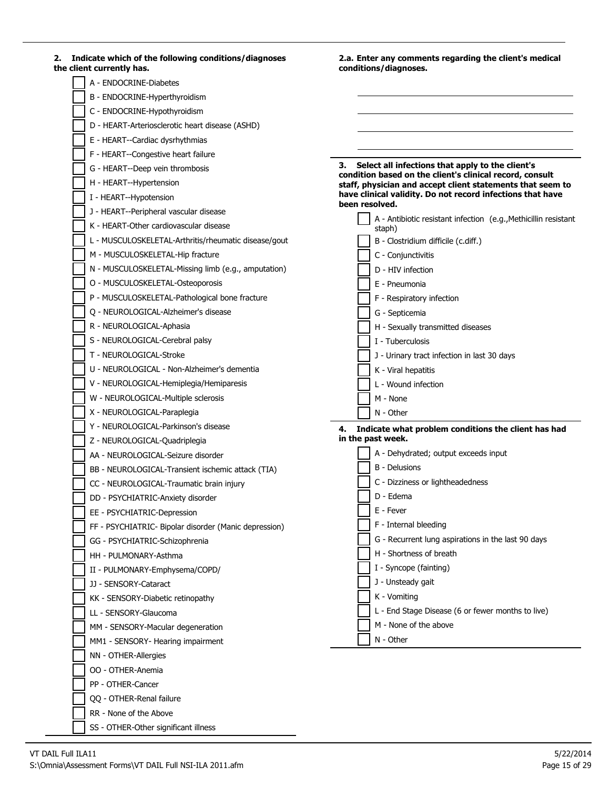| Indicate which of the following conditions/diagnoses<br>2.<br>the client currently has. | 2.a. Enter any comments regarding the client's medical<br>conditions/diagnoses. |
|-----------------------------------------------------------------------------------------|---------------------------------------------------------------------------------|
| A - ENDOCRINE-Diabetes                                                                  |                                                                                 |
| B - ENDOCRINE-Hyperthyroidism                                                           |                                                                                 |
| C - ENDOCRINE-Hypothyroidism                                                            |                                                                                 |
|                                                                                         |                                                                                 |
| D - HEART-Arteriosclerotic heart disease (ASHD)                                         |                                                                                 |
| E - HEART--Cardiac dysrhythmias                                                         |                                                                                 |
| F - HEART--Congestive heart failure                                                     | Select all infections that apply to the client's<br>З.                          |
| G - HEART--Deep vein thrombosis                                                         | condition based on the client's clinical record, consult                        |
| H - HEART--Hypertension                                                                 | staff, physician and accept client statements that seem to                      |
| I - HEART--Hypotension                                                                  | have clinical validity. Do not record infections that have<br>been resolved.    |
| J - HEART--Peripheral vascular disease                                                  | A - Antibiotic resistant infection (e.g., Methicillin resistant                 |
| K - HEART-Other cardiovascular disease                                                  | staph)                                                                          |
| L - MUSCULOSKELETAL-Arthritis/rheumatic disease/gout                                    | B - Clostridium difficile (c.diff.)                                             |
| M - MUSCULOSKELETAL-Hip fracture                                                        | C - Conjunctivitis                                                              |
| N - MUSCULOSKELETAL-Missing limb (e.g., amputation)                                     | D - HIV infection                                                               |
| O - MUSCULOSKELETAL-Osteoporosis                                                        | E - Pneumonia                                                                   |
| P - MUSCULOSKELETAL-Pathological bone fracture                                          | F - Respiratory infection                                                       |
| Q - NEUROLOGICAL-Alzheimer's disease                                                    | G - Septicemia                                                                  |
| R - NEUROLOGICAL-Aphasia                                                                | H - Sexually transmitted diseases                                               |
| S - NEUROLOGICAL-Cerebral palsy                                                         | I - Tuberculosis                                                                |
| T - NEUROLOGICAL-Stroke                                                                 | J - Urinary tract infection in last 30 days                                     |
| U - NEUROLOGICAL - Non-Alzheimer's dementia                                             | K - Viral hepatitis                                                             |
| V - NEUROLOGICAL-Hemiplegia/Hemiparesis                                                 | L - Wound infection                                                             |
| W - NEUROLOGICAL-Multiple sclerosis                                                     | M - None                                                                        |
| X - NEUROLOGICAL-Paraplegia                                                             | N - Other                                                                       |
| Y - NEUROLOGICAL-Parkinson's disease                                                    | Indicate what problem conditions the client has had<br>4.                       |
| Z - NEUROLOGICAL-Quadriplegia                                                           | in the past week.                                                               |
| AA - NEUROLOGICAL-Seizure disorder                                                      | A - Dehydrated; output exceeds input                                            |
| BB - NEUROLOGICAL-Transient ischemic attack (TIA)                                       | <b>B</b> - Delusions                                                            |
| CC - NEUROLOGICAL-Traumatic brain injury                                                | C - Dizziness or lightheadedness                                                |
| DD - PSYCHIATRIC-Anxiety disorder                                                       | D - Edema                                                                       |
| EE - PSYCHIATRIC-Depression                                                             | E - Fever                                                                       |
| FF - PSYCHIATRIC- Bipolar disorder (Manic depression)                                   | F - Internal bleeding                                                           |
| GG - PSYCHIATRIC-Schizophrenia                                                          | G - Recurrent lung aspirations in the last 90 days                              |
| HH - PULMONARY-Asthma                                                                   | H - Shortness of breath                                                         |
| II - PULMONARY-Emphysema/COPD/                                                          | I - Syncope (fainting)                                                          |
| JJ - SENSORY-Cataract                                                                   | J - Unsteady gait                                                               |
| KK - SENSORY-Diabetic retinopathy                                                       | K - Vomiting                                                                    |
| LL - SENSORY-Glaucoma                                                                   | L - End Stage Disease (6 or fewer months to live)                               |
|                                                                                         | M - None of the above                                                           |
| MM - SENSORY-Macular degeneration                                                       | N - Other                                                                       |
| MM1 - SENSORY- Hearing impairment                                                       |                                                                                 |
| NN - OTHER-Allergies                                                                    |                                                                                 |
| OO - OTHER-Anemia                                                                       |                                                                                 |
| PP - OTHER-Cancer                                                                       |                                                                                 |
| QQ - OTHER-Renal failure                                                                |                                                                                 |

SS - OTHER-Other significant illness

RR - None of the Above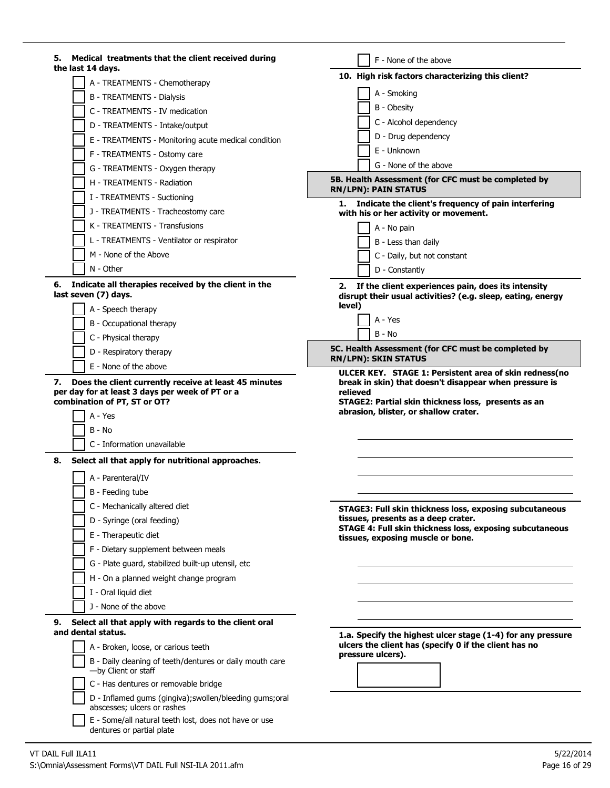| Medical treatments that the client received during<br>5.<br>the last 14 days.           | F - None of the above                                                                                                |
|-----------------------------------------------------------------------------------------|----------------------------------------------------------------------------------------------------------------------|
| A - TREATMENTS - Chemotherapy                                                           | 10. High risk factors characterizing this client?                                                                    |
| <b>B - TREATMENTS - Dialysis</b>                                                        | A - Smoking                                                                                                          |
| C - TREATMENTS - IV medication                                                          | B - Obesity                                                                                                          |
|                                                                                         | C - Alcohol dependency                                                                                               |
| D - TREATMENTS - Intake/output                                                          | D - Drug dependency                                                                                                  |
| E - TREATMENTS - Monitoring acute medical condition                                     | E - Unknown                                                                                                          |
| F - TREATMENTS - Ostomy care                                                            | G - None of the above                                                                                                |
| G - TREATMENTS - Oxygen therapy                                                         |                                                                                                                      |
| H - TREATMENTS - Radiation                                                              | 5B. Health Assessment (for CFC must be completed by<br><b>RN/LPN): PAIN STATUS</b>                                   |
| I - TREATMENTS - Suctioning                                                             | 1. Indicate the client's frequency of pain interfering                                                               |
| J - TREATMENTS - Tracheostomy care                                                      | with his or her activity or movement.                                                                                |
| K - TREATMENTS - Transfusions                                                           | A - No pain                                                                                                          |
| L - TREATMENTS - Ventilator or respirator                                               | B - Less than daily                                                                                                  |
| M - None of the Above                                                                   | C - Daily, but not constant                                                                                          |
| N - Other                                                                               | D - Constantly                                                                                                       |
| Indicate all therapies received by the client in the<br>6.<br>last seven (7) days.      | 2. If the client experiences pain, does its intensity<br>disrupt their usual activities? (e.g. sleep, eating, energy |
| A - Speech therapy                                                                      | level)                                                                                                               |
| B - Occupational therapy                                                                | A - Yes                                                                                                              |
| C - Physical therapy                                                                    | $B - No$                                                                                                             |
| D - Respiratory therapy                                                                 | 5C. Health Assessment (for CFC must be completed by                                                                  |
| E - None of the above                                                                   | <b>RN/LPN): SKIN STATUS</b><br>ULCER KEY. STAGE 1: Persistent area of skin redness(no                                |
| A - Yes<br>B - No                                                                       | abrasion, blister, or shallow crater.                                                                                |
|                                                                                         |                                                                                                                      |
| C - Information unavailable                                                             |                                                                                                                      |
| 8.<br>Select all that apply for nutritional approaches.                                 |                                                                                                                      |
| A - Parenteral/IV                                                                       |                                                                                                                      |
| B - Feeding tube                                                                        |                                                                                                                      |
| C - Mechanically altered diet                                                           | STAGE3: Full skin thickness loss, exposing subcutaneous                                                              |
| D - Syringe (oral feeding)                                                              | tissues, presents as a deep crater.                                                                                  |
| E - Therapeutic diet                                                                    | STAGE 4: Full skin thickness loss, exposing subcutaneous<br>tissues, exposing muscle or bone.                        |
| F - Dietary supplement between meals                                                    |                                                                                                                      |
| G - Plate guard, stabilized built-up utensil, etc                                       |                                                                                                                      |
| H - On a planned weight change program                                                  |                                                                                                                      |
| I - Oral liquid diet                                                                    |                                                                                                                      |
| J - None of the above                                                                   |                                                                                                                      |
| Select all that apply with regards to the client oral<br>9.                             |                                                                                                                      |
| and dental status.                                                                      | 1.a. Specify the highest ulcer stage (1-4) for any pressure                                                          |
| A - Broken, loose, or carious teeth                                                     | ulcers the client has (specify 0 if the client has no                                                                |
| B - Daily cleaning of teeth/dentures or daily mouth care<br>-by Client or staff         | pressure ulcers).                                                                                                    |
| C - Has dentures or removable bridge                                                    |                                                                                                                      |
| D - Inflamed gums (gingiva); swollen/bleeding gums; oral<br>abscesses; ulcers or rashes |                                                                                                                      |
| E - Some/all natural teeth lost, does not have or use<br>dentures or partial plate      |                                                                                                                      |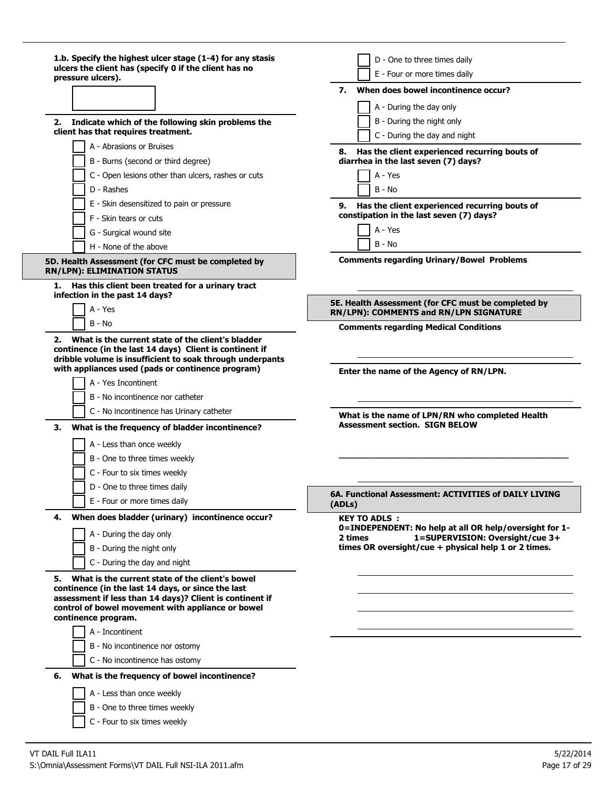| 1.b. Specify the highest ulcer stage (1-4) for any stasis<br>ulcers the client has (specify 0 if the client has no<br>pressure ulcers).                                                                                                             | D - One to three times daily<br>E - Four or more times daily                                  |
|-----------------------------------------------------------------------------------------------------------------------------------------------------------------------------------------------------------------------------------------------------|-----------------------------------------------------------------------------------------------|
|                                                                                                                                                                                                                                                     | When does bowel incontinence occur?<br>7.                                                     |
|                                                                                                                                                                                                                                                     | A - During the day only                                                                       |
| Indicate which of the following skin problems the<br>2.                                                                                                                                                                                             | B - During the night only                                                                     |
| client has that requires treatment.                                                                                                                                                                                                                 | C - During the day and night                                                                  |
| A - Abrasions or Bruises                                                                                                                                                                                                                            | 8. Has the client experienced recurring bouts of                                              |
| B - Burns (second or third degree)                                                                                                                                                                                                                  | diarrhea in the last seven (7) days?                                                          |
| C - Open lesions other than ulcers, rashes or cuts                                                                                                                                                                                                  | A - Yes                                                                                       |
| D - Rashes                                                                                                                                                                                                                                          | B - No                                                                                        |
| E - Skin desensitized to pain or pressure                                                                                                                                                                                                           | Has the client experienced recurring bouts of<br>9.                                           |
| F - Skin tears or cuts                                                                                                                                                                                                                              | constipation in the last seven (7) days?<br>A - Yes                                           |
| G - Surgical wound site                                                                                                                                                                                                                             | B - No                                                                                        |
| H - None of the above                                                                                                                                                                                                                               |                                                                                               |
| 5D. Health Assessment (for CFC must be completed by<br><b>RN/LPN): ELIMINATION STATUS</b>                                                                                                                                                           | <b>Comments regarding Urinary/Bowel Problems</b>                                              |
| 1.<br>Has this client been treated for a urinary tract<br>infection in the past 14 days?                                                                                                                                                            |                                                                                               |
| A - Yes                                                                                                                                                                                                                                             | 5E. Health Assessment (for CFC must be completed by<br>RN/LPN): COMMENTS and RN/LPN SIGNATURE |
| B - No                                                                                                                                                                                                                                              | <b>Comments regarding Medical Conditions</b>                                                  |
| continence (in the last 14 days) Client is continent if<br>dribble volume is insufficient to soak through underpants<br>with appliances used (pads or continence program)<br>A - Yes Incontinent<br>B - No incontinence nor catheter                | Enter the name of the Agency of RN/LPN.                                                       |
| C - No incontinence has Urinary catheter                                                                                                                                                                                                            | What is the name of LPN/RN who completed Health<br><b>Assessment section. SIGN BELOW</b>      |
| What is the frequency of bladder incontinence?<br>З.                                                                                                                                                                                                |                                                                                               |
| A - Less than once weekly                                                                                                                                                                                                                           |                                                                                               |
| B - One to three times weekly                                                                                                                                                                                                                       |                                                                                               |
| C - Four to six times weekly                                                                                                                                                                                                                        |                                                                                               |
| D - One to three times daily                                                                                                                                                                                                                        | 6A. Functional Assessment: ACTIVITIES of DAILY LIVING                                         |
| E - Four or more times daily                                                                                                                                                                                                                        | (ADLs)                                                                                        |
| When does bladder (urinary) incontinence occur?<br>4.                                                                                                                                                                                               | <b>KEY TO ADLS:</b><br>0=INDEPENDENT: No help at all OR help/oversight for 1-                 |
| A - During the day only                                                                                                                                                                                                                             | 1=SUPERVISION: Oversight/cue 3+<br>2 times                                                    |
| B - During the night only                                                                                                                                                                                                                           | times OR oversight/cue + physical help 1 or 2 times.                                          |
| C - During the day and night                                                                                                                                                                                                                        |                                                                                               |
| What is the current state of the client's bowel<br>5.<br>continence (in the last 14 days, or since the last<br>assessment if less than 14 days)? Client is continent if<br>control of bowel movement with appliance or bowel<br>continence program. |                                                                                               |
| A - Incontinent                                                                                                                                                                                                                                     |                                                                                               |
| B - No incontinence nor ostomy                                                                                                                                                                                                                      |                                                                                               |
| C - No incontinence has ostomy                                                                                                                                                                                                                      |                                                                                               |
| What is the frequency of bowel incontinence?<br>6.                                                                                                                                                                                                  |                                                                                               |
| A - Less than once weekly                                                                                                                                                                                                                           |                                                                                               |
| B - One to three times weekly                                                                                                                                                                                                                       |                                                                                               |
| C - Four to six times weekly                                                                                                                                                                                                                        |                                                                                               |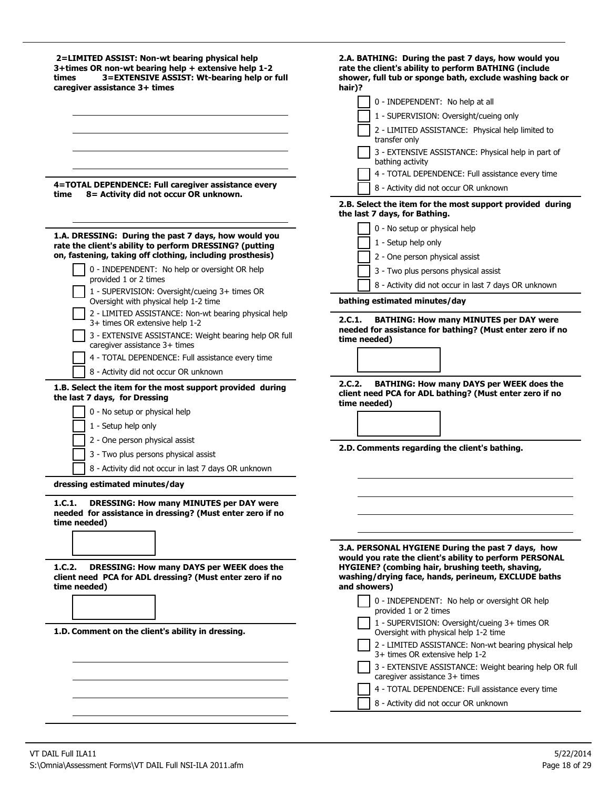| 2=LIMITED ASSIST: Non-wt bearing physical help<br>3+times OR non-wt bearing help + extensive help 1-2<br>3=EXTENSIVE ASSIST: Wt-bearing help or full<br>times<br>caregiver assistance 3+ times | 2.A. BATHING: During the past 7 days, how would you<br>rate the client's ability to perform BATHING (include<br>shower, full tub or sponge bath, exclude washing back or<br>hair)?<br>0 - INDEPENDENT: No help at all<br>1 - SUPERVISION: Oversight/cueing only |
|------------------------------------------------------------------------------------------------------------------------------------------------------------------------------------------------|-----------------------------------------------------------------------------------------------------------------------------------------------------------------------------------------------------------------------------------------------------------------|
|                                                                                                                                                                                                | 2 - LIMITED ASSISTANCE: Physical help limited to                                                                                                                                                                                                                |
|                                                                                                                                                                                                | transfer only<br>3 - EXTENSIVE ASSISTANCE: Physical help in part of<br>bathing activity                                                                                                                                                                         |
|                                                                                                                                                                                                | 4 - TOTAL DEPENDENCE: Full assistance every time                                                                                                                                                                                                                |
| 4=TOTAL DEPENDENCE: Full caregiver assistance every<br>8= Activity did not occur OR unknown.<br>time                                                                                           | 8 - Activity did not occur OR unknown                                                                                                                                                                                                                           |
|                                                                                                                                                                                                | 2.B. Select the item for the most support provided during<br>the last 7 days, for Bathing.                                                                                                                                                                      |
|                                                                                                                                                                                                | 0 - No setup or physical help                                                                                                                                                                                                                                   |
| 1.A. DRESSING: During the past 7 days, how would you<br>rate the client's ability to perform DRESSING? (putting<br>on, fastening, taking off clothing, including prosthesis)                   | 1 - Setup help only<br>2 - One person physical assist                                                                                                                                                                                                           |
| 0 - INDEPENDENT: No help or oversight OR help                                                                                                                                                  | 3 - Two plus persons physical assist                                                                                                                                                                                                                            |
| provided 1 or 2 times<br>1 - SUPERVISION: Oversight/cueing 3+ times OR                                                                                                                         | 8 - Activity did not occur in last 7 days OR unknown                                                                                                                                                                                                            |
| Oversight with physical help 1-2 time                                                                                                                                                          | bathing estimated minutes/day                                                                                                                                                                                                                                   |
| 2 - LIMITED ASSISTANCE: Non-wt bearing physical help<br>3+ times OR extensive help 1-2                                                                                                         | 2.C.1.<br><b>BATHING: How many MINUTES per DAY were</b>                                                                                                                                                                                                         |
| 3 - EXTENSIVE ASSISTANCE: Weight bearing help OR full<br>caregiver assistance 3+ times                                                                                                         | needed for assistance for bathing? (Must enter zero if no<br>time needed)                                                                                                                                                                                       |
| 4 - TOTAL DEPENDENCE: Full assistance every time                                                                                                                                               |                                                                                                                                                                                                                                                                 |
| 8 - Activity did not occur OR unknown                                                                                                                                                          |                                                                                                                                                                                                                                                                 |
| 1.B. Select the item for the most support provided during<br>the last 7 days, for Dressing                                                                                                     | 2.C.2.<br><b>BATHING: How many DAYS per WEEK does the</b><br>client need PCA for ADL bathing? (Must enter zero if no<br>time needed)                                                                                                                            |
| 0 - No setup or physical help                                                                                                                                                                  |                                                                                                                                                                                                                                                                 |
| 1 - Setup help only                                                                                                                                                                            |                                                                                                                                                                                                                                                                 |
| 2 - One person physical assist                                                                                                                                                                 | 2.D. Comments regarding the client's bathing.                                                                                                                                                                                                                   |
| 3 - Two plus persons physical assist                                                                                                                                                           |                                                                                                                                                                                                                                                                 |
| 8 - Activity did not occur in last 7 days OR unknown                                                                                                                                           |                                                                                                                                                                                                                                                                 |
| dressing estimated minutes/day                                                                                                                                                                 |                                                                                                                                                                                                                                                                 |
| DRESSING: How many MINUTES per DAY were<br>1.C.1.<br>needed for assistance in dressing? (Must enter zero if no<br>time needed)                                                                 |                                                                                                                                                                                                                                                                 |
|                                                                                                                                                                                                |                                                                                                                                                                                                                                                                 |
| 1.C.2.<br>DRESSING: How many DAYS per WEEK does the<br>client need PCA for ADL dressing? (Must enter zero if no<br>time needed)                                                                | 3.A. PERSONAL HYGIENE During the past 7 days, how<br>would you rate the client's ability to perform PERSONAL<br>HYGIENE? (combing hair, brushing teeth, shaving,<br>washing/drying face, hands, perineum, EXCLUDE baths<br>and showers)                         |
|                                                                                                                                                                                                | 0 - INDEPENDENT: No help or oversight OR help                                                                                                                                                                                                                   |
| 1.D. Comment on the client's ability in dressing.                                                                                                                                              | provided 1 or 2 times<br>1 - SUPERVISION: Oversight/cueing 3+ times OR<br>Oversight with physical help 1-2 time                                                                                                                                                 |
|                                                                                                                                                                                                | 2 - LIMITED ASSISTANCE: Non-wt bearing physical help<br>3+ times OR extensive help 1-2                                                                                                                                                                          |
|                                                                                                                                                                                                | 3 - EXTENSIVE ASSISTANCE: Weight bearing help OR full<br>caregiver assistance 3+ times                                                                                                                                                                          |
|                                                                                                                                                                                                | 4 - TOTAL DEPENDENCE: Full assistance every time                                                                                                                                                                                                                |
|                                                                                                                                                                                                | 8 - Activity did not occur OR unknown                                                                                                                                                                                                                           |
|                                                                                                                                                                                                |                                                                                                                                                                                                                                                                 |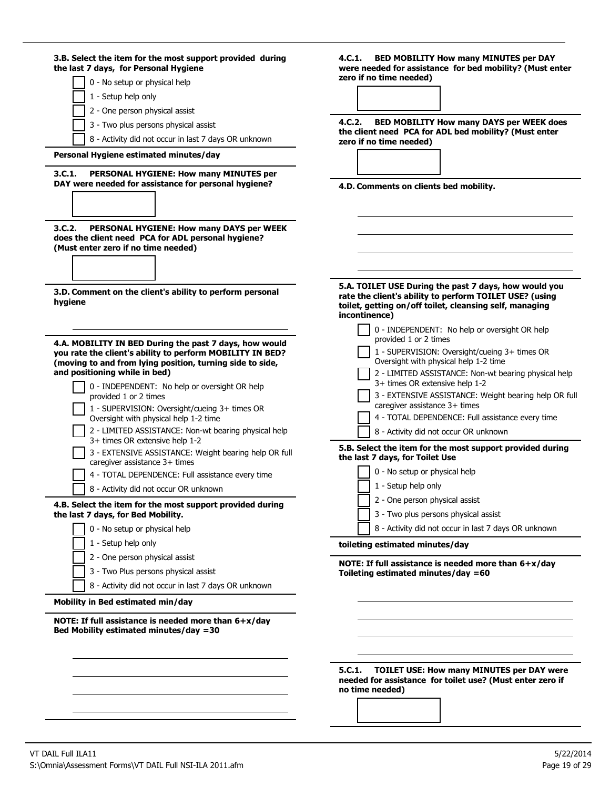| 3.B. Select the item for the most support provided during<br>the last 7 days, for Personal Hygiene                                              | 4.C.1. BED MOBILITY How many MINUTES per DAY<br>were needed for assistance for bed mobility? (Must enter                                                                                     |
|-------------------------------------------------------------------------------------------------------------------------------------------------|----------------------------------------------------------------------------------------------------------------------------------------------------------------------------------------------|
| 0 - No setup or physical help                                                                                                                   | zero if no time needed)                                                                                                                                                                      |
| 1 - Setup help only                                                                                                                             |                                                                                                                                                                                              |
| 2 - One person physical assist                                                                                                                  |                                                                                                                                                                                              |
|                                                                                                                                                 | 4.C.2.<br><b>BED MOBILITY How many DAYS per WEEK does</b>                                                                                                                                    |
| 3 - Two plus persons physical assist                                                                                                            | the client need PCA for ADL bed mobility? (Must enter                                                                                                                                        |
| 8 - Activity did not occur in last 7 days OR unknown                                                                                            | zero if no time needed)                                                                                                                                                                      |
| Personal Hygiene estimated minutes/day                                                                                                          |                                                                                                                                                                                              |
| 3.C.1.<br>PERSONAL HYGIENE: How many MINUTES per<br>DAY were needed for assistance for personal hygiene?                                        | 4.D. Comments on clients bed mobility.                                                                                                                                                       |
|                                                                                                                                                 |                                                                                                                                                                                              |
| PERSONAL HYGIENE: How many DAYS per WEEK<br>3.C.2.<br>does the client need PCA for ADL personal hygiene?<br>(Must enter zero if no time needed) |                                                                                                                                                                                              |
|                                                                                                                                                 |                                                                                                                                                                                              |
| 3.D. Comment on the client's ability to perform personal<br>hygiene                                                                             | 5.A. TOILET USE During the past 7 days, how would you<br>rate the client's ability to perform TOILET USE? (using<br>toilet, getting on/off toilet, cleansing self, managing<br>incontinence) |
|                                                                                                                                                 | 0 - INDEPENDENT: No help or oversight OR help                                                                                                                                                |
| 4.A. MOBILITY IN BED During the past 7 days, how would<br>you rate the client's ability to perform MOBILITY IN BED?                             | provided 1 or 2 times<br>1 - SUPERVISION: Oversight/cueing 3+ times OR<br>Oversight with physical help 1-2 time                                                                              |
| (moving to and from lying position, turning side to side,<br>and positioning while in bed)                                                      | 2 - LIMITED ASSISTANCE: Non-wt bearing physical help                                                                                                                                         |
| 0 - INDEPENDENT: No help or oversight OR help<br>provided 1 or 2 times                                                                          | 3+ times OR extensive help 1-2<br>3 - EXTENSIVE ASSISTANCE: Weight bearing help OR full                                                                                                      |
| 1 - SUPERVISION: Oversight/cueing 3+ times OR<br>Oversight with physical help 1-2 time                                                          | caregiver assistance 3+ times<br>4 - TOTAL DEPENDENCE: Full assistance every time                                                                                                            |
| 2 - LIMITED ASSISTANCE: Non-wt bearing physical help                                                                                            | 8 - Activity did not occur OR unknown                                                                                                                                                        |
| 3+ times OR extensive help 1-2<br>3 - EXTENSIVE ASSISTANCE: Weight bearing help OR full                                                         | 5.B. Select the item for the most support provided during<br>the last 7 days, for Toilet Use                                                                                                 |
| caregiver assistance 3+ times<br>4 - TOTAL DEPENDENCE: Full assistance every time                                                               | 0 - No setup or physical help                                                                                                                                                                |
| 8 - Activity did not occur OR unknown                                                                                                           | 1 - Setup help only                                                                                                                                                                          |
|                                                                                                                                                 | 2 - One person physical assist                                                                                                                                                               |
| 4.B. Select the item for the most support provided during<br>the last 7 days, for Bed Mobility.                                                 | 3 - Two plus persons physical assist                                                                                                                                                         |
| 0 - No setup or physical help                                                                                                                   | 8 - Activity did not occur in last 7 days OR unknown                                                                                                                                         |
| 1 - Setup help only                                                                                                                             |                                                                                                                                                                                              |
|                                                                                                                                                 | toileting estimated minutes/day                                                                                                                                                              |
| 2 - One person physical assist                                                                                                                  | NOTE: If full assistance is needed more than 6+x/day                                                                                                                                         |
| 3 - Two Plus persons physical assist                                                                                                            | Toileting estimated minutes/day $=60$                                                                                                                                                        |
| 8 - Activity did not occur in last 7 days OR unknown                                                                                            |                                                                                                                                                                                              |
| Mobility in Bed estimated min/day                                                                                                               |                                                                                                                                                                                              |
| NOTE: If full assistance is needed more than $6+x/day$<br>Bed Mobility estimated minutes/day =30                                                |                                                                                                                                                                                              |
|                                                                                                                                                 |                                                                                                                                                                                              |
|                                                                                                                                                 | 5.C.1.                                                                                                                                                                                       |
|                                                                                                                                                 | <b>TOILET USE: How many MINUTES per DAY were</b><br>needed for assistance for toilet use? (Must enter zero if<br>no time needed)                                                             |
|                                                                                                                                                 |                                                                                                                                                                                              |
|                                                                                                                                                 |                                                                                                                                                                                              |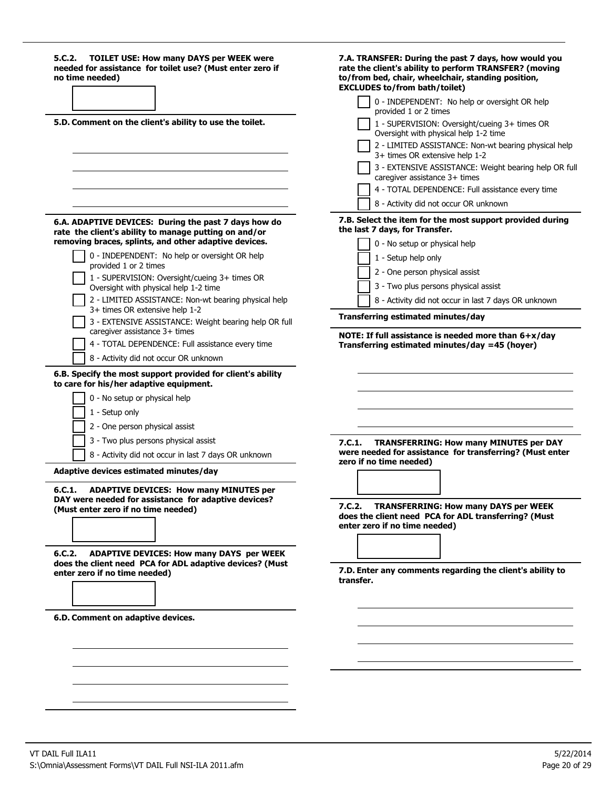| 5.C.2.<br><b>TOILET USE: How many DAYS per WEEK were</b><br>needed for assistance for toilet use? (Must enter zero if<br>no time needed)                  | 7.A. TRANSFER: During the past 7 days, how would you<br>rate the client's ability to perform TRANSFER? (moving<br>to/from bed, chair, wheelchair, standing position,<br><b>EXCLUDES to/from bath/toilet)</b> |
|-----------------------------------------------------------------------------------------------------------------------------------------------------------|--------------------------------------------------------------------------------------------------------------------------------------------------------------------------------------------------------------|
|                                                                                                                                                           | 0 - INDEPENDENT: No help or oversight OR help<br>provided 1 or 2 times                                                                                                                                       |
| 5.D. Comment on the client's ability to use the toilet.                                                                                                   | 1 - SUPERVISION: Oversight/cueing 3+ times OR<br>Oversight with physical help 1-2 time                                                                                                                       |
|                                                                                                                                                           | 2 - LIMITED ASSISTANCE: Non-wt bearing physical help<br>3+ times OR extensive help 1-2                                                                                                                       |
|                                                                                                                                                           | 3 - EXTENSIVE ASSISTANCE: Weight bearing help OR full<br>caregiver assistance 3+ times                                                                                                                       |
|                                                                                                                                                           | 4 - TOTAL DEPENDENCE: Full assistance every time                                                                                                                                                             |
|                                                                                                                                                           | 8 - Activity did not occur OR unknown                                                                                                                                                                        |
| 6.A. ADAPTIVE DEVICES: During the past 7 days how do<br>rate the client's ability to manage putting on and/or                                             | 7.B. Select the item for the most support provided during<br>the last 7 days, for Transfer.                                                                                                                  |
| removing braces, splints, and other adaptive devices.                                                                                                     | 0 - No setup or physical help                                                                                                                                                                                |
| 0 - INDEPENDENT: No help or oversight OR help<br>provided 1 or 2 times                                                                                    | 1 - Setup help only                                                                                                                                                                                          |
| 1 - SUPERVISION: Oversight/cueing 3+ times OR                                                                                                             | 2 - One person physical assist                                                                                                                                                                               |
| Oversight with physical help 1-2 time                                                                                                                     | 3 - Two plus persons physical assist                                                                                                                                                                         |
| 2 - LIMITED ASSISTANCE: Non-wt bearing physical help<br>3+ times OR extensive help 1-2                                                                    | 8 - Activity did not occur in last 7 days OR unknown                                                                                                                                                         |
| 3 - EXTENSIVE ASSISTANCE: Weight bearing help OR full<br>caregiver assistance 3+ times                                                                    | Transferring estimated minutes/day                                                                                                                                                                           |
| 4 - TOTAL DEPENDENCE: Full assistance every time                                                                                                          | NOTE: If full assistance is needed more than $6+x/day$<br>Transferring estimated minutes/day =45 (hoyer)                                                                                                     |
| 8 - Activity did not occur OR unknown                                                                                                                     |                                                                                                                                                                                                              |
| 6.B. Specify the most support provided for client's ability<br>to care for his/her adaptive equipment.<br>0 - No setup or physical help<br>1 - Setup only |                                                                                                                                                                                                              |
| 2 - One person physical assist                                                                                                                            |                                                                                                                                                                                                              |
| 3 - Two plus persons physical assist                                                                                                                      | 7.C.1.<br><b>TRANSFERRING: How many MINUTES per DAY</b>                                                                                                                                                      |
| 8 - Activity did not occur in last 7 days OR unknown                                                                                                      | were needed for assistance for transferring? (Must enter                                                                                                                                                     |
| Adaptive devices estimated minutes/day                                                                                                                    | zero if no time needed)                                                                                                                                                                                      |
| 6.C.1.<br><b>ADAPTIVE DEVICES: How many MINUTES per</b>                                                                                                   |                                                                                                                                                                                                              |
| DAY were needed for assistance for adaptive devices?<br>(Must enter zero if no time needed)                                                               | <b>TRANSFERRING: How many DAYS per WEEK</b><br>7.C.2.<br>does the client need PCA for ADL transferring? (Must<br>enter zero if no time needed)                                                               |
|                                                                                                                                                           |                                                                                                                                                                                                              |
| <b>ADAPTIVE DEVICES: How many DAYS per WEEK</b><br>6.C.2.<br>does the client need PCA for ADL adaptive devices? (Must                                     |                                                                                                                                                                                                              |
| enter zero if no time needed)                                                                                                                             | 7.D. Enter any comments regarding the client's ability to<br>transfer.                                                                                                                                       |
|                                                                                                                                                           |                                                                                                                                                                                                              |
| 6.D. Comment on adaptive devices.                                                                                                                         |                                                                                                                                                                                                              |
|                                                                                                                                                           |                                                                                                                                                                                                              |
|                                                                                                                                                           |                                                                                                                                                                                                              |
|                                                                                                                                                           |                                                                                                                                                                                                              |
|                                                                                                                                                           |                                                                                                                                                                                                              |
|                                                                                                                                                           |                                                                                                                                                                                                              |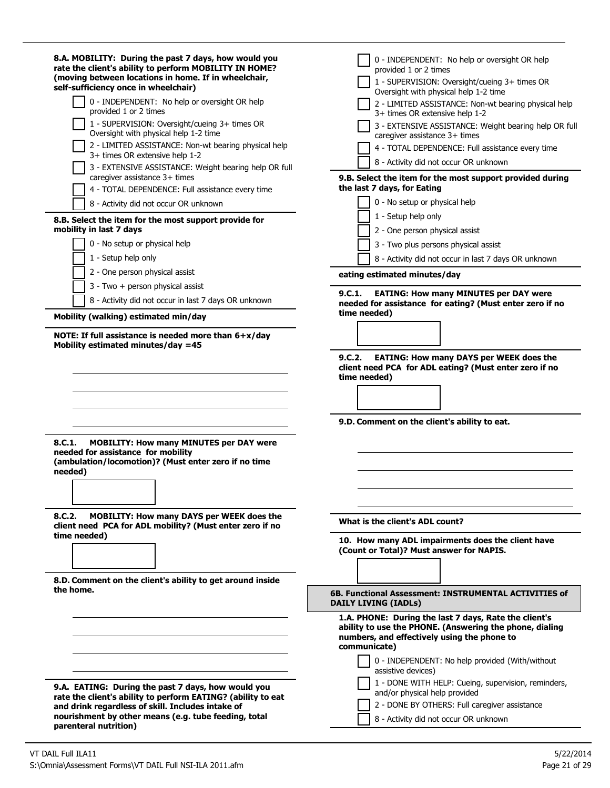| 8.A. MOBILITY: During the past 7 days, how would you<br>rate the client's ability to perform MOBILITY IN HOME?<br>(moving between locations in home. If in wheelchair,<br>self-sufficiency once in wheelchair)<br>0 - INDEPENDENT: No help or oversight OR help<br>provided 1 or 2 times<br>1 - SUPERVISION: Oversight/cueing 3+ times OR<br>Oversight with physical help 1-2 time<br>2 - LIMITED ASSISTANCE: Non-wt bearing physical help<br>3+ times OR extensive help 1-2<br>3 - EXTENSIVE ASSISTANCE: Weight bearing help OR full<br>caregiver assistance 3+ times<br>4 - TOTAL DEPENDENCE: Full assistance every time | 0 - INDEPENDENT: No help or oversight OR help<br>provided 1 or 2 times<br>1 - SUPERVISION: Oversight/cueing 3+ times OR<br>Oversight with physical help 1-2 time<br>2 - LIMITED ASSISTANCE: Non-wt bearing physical help<br>3+ times OR extensive help 1-2<br>3 - EXTENSIVE ASSISTANCE: Weight bearing help OR full<br>caregiver assistance 3+ times<br>4 - TOTAL DEPENDENCE: Full assistance every time<br>8 - Activity did not occur OR unknown<br>9.B. Select the item for the most support provided during<br>the last 7 days, for Eating<br>0 - No setup or physical help |
|----------------------------------------------------------------------------------------------------------------------------------------------------------------------------------------------------------------------------------------------------------------------------------------------------------------------------------------------------------------------------------------------------------------------------------------------------------------------------------------------------------------------------------------------------------------------------------------------------------------------------|--------------------------------------------------------------------------------------------------------------------------------------------------------------------------------------------------------------------------------------------------------------------------------------------------------------------------------------------------------------------------------------------------------------------------------------------------------------------------------------------------------------------------------------------------------------------------------|
| 8 - Activity did not occur OR unknown<br>8.B. Select the item for the most support provide for<br>mobility in last 7 days<br>0 - No setup or physical help<br>1 - Setup help only                                                                                                                                                                                                                                                                                                                                                                                                                                          | 1 - Setup help only<br>2 - One person physical assist<br>3 - Two plus persons physical assist<br>8 - Activity did not occur in last 7 days OR unknown                                                                                                                                                                                                                                                                                                                                                                                                                          |
| 2 - One person physical assist<br>3 - Two + person physical assist                                                                                                                                                                                                                                                                                                                                                                                                                                                                                                                                                         | eating estimated minutes/day                                                                                                                                                                                                                                                                                                                                                                                                                                                                                                                                                   |
| 8 - Activity did not occur in last 7 days OR unknown<br>Mobility (walking) estimated min/day                                                                                                                                                                                                                                                                                                                                                                                                                                                                                                                               | <b>EATING: How many MINUTES per DAY were</b><br>9.C.1.<br>needed for assistance for eating? (Must enter zero if no<br>time needed)                                                                                                                                                                                                                                                                                                                                                                                                                                             |
| Mobility estimated minutes/day =45<br><b>MOBILITY: How many MINUTES per DAY were</b><br>8.C.1.<br>needed for assistance for mobility<br>(ambulation/locomotion)? (Must enter zero if no time<br>needed)                                                                                                                                                                                                                                                                                                                                                                                                                    | <b>EATING: How many DAYS per WEEK does the</b><br>9.C.2.<br>client need PCA for ADL eating? (Must enter zero if no<br>time needed)<br>9.D. Comment on the client's ability to eat.                                                                                                                                                                                                                                                                                                                                                                                             |
| <b>MOBILITY: How many DAYS per WEEK does the</b><br>8.C.2.<br>client need PCA for ADL mobility? (Must enter zero if no<br>time needed)                                                                                                                                                                                                                                                                                                                                                                                                                                                                                     | What is the client's ADL count?<br>10. How many ADL impairments does the client have<br>(Count or Total)? Must answer for NAPIS.                                                                                                                                                                                                                                                                                                                                                                                                                                               |
| 8.D. Comment on the client's ability to get around inside<br>the home.                                                                                                                                                                                                                                                                                                                                                                                                                                                                                                                                                     | 6B. Functional Assessment: INSTRUMENTAL ACTIVITIES of<br><b>DAILY LIVING (IADLs)</b>                                                                                                                                                                                                                                                                                                                                                                                                                                                                                           |
| 9.A. EATING: During the past 7 days, how would you<br>rate the client's ability to perform EATING? (ability to eat<br>and drink regardless of skill. Includes intake of<br>nourishment by other means (e.g. tube feeding, total                                                                                                                                                                                                                                                                                                                                                                                            | 1.A. PHONE: During the last 7 days, Rate the client's<br>ability to use the PHONE. (Answering the phone, dialing<br>numbers, and effectively using the phone to<br>communicate)<br>0 - INDEPENDENT: No help provided (With/without<br>assistive devices)<br>1 - DONE WITH HELP: Cueing, supervision, reminders,<br>and/or physical help provided<br>2 - DONE BY OTHERS: Full caregiver assistance<br>8 - Activity did not occur OR unknown                                                                                                                                     |
| parenteral nutrition)                                                                                                                                                                                                                                                                                                                                                                                                                                                                                                                                                                                                      |                                                                                                                                                                                                                                                                                                                                                                                                                                                                                                                                                                                |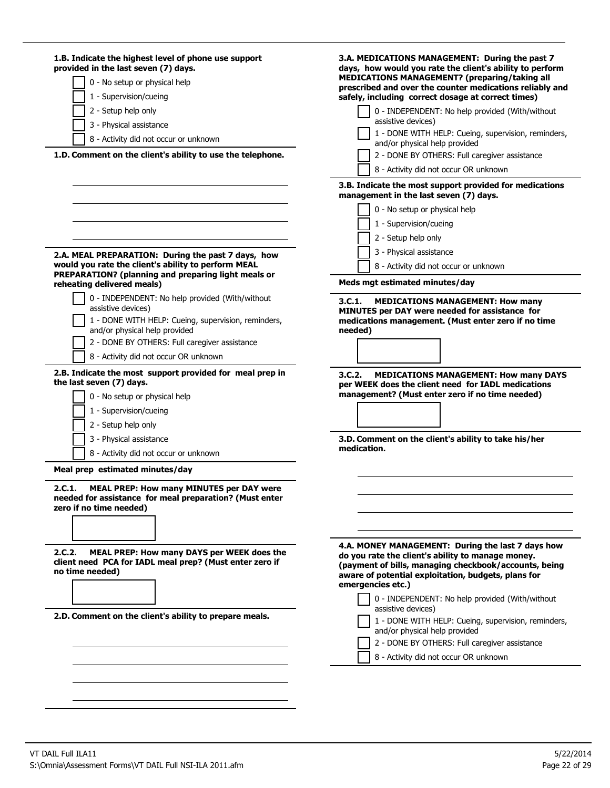| 3.B. Indicate the most support provided for medications<br>management in the last seven (7) days.<br>0 - No setup or physical help<br>1 - Supervision/cueing<br>2 - Setup help only<br>3 - Physical assistance<br>2.A. MEAL PREPARATION: During the past 7 days, how<br>would you rate the client's ability to perform MEAL<br>8 - Activity did not occur or unknown<br>PREPARATION? (planning and preparing light meals or<br>Meds mgt estimated minutes/day<br>reheating delivered meals)<br>0 - INDEPENDENT: No help provided (With/without<br>3.C.1.<br><b>MEDICATIONS MANAGEMENT: How many</b><br>assistive devices)<br>MINUTES per DAY were needed for assistance for<br>medications management. (Must enter zero if no time<br>1 - DONE WITH HELP: Cueing, supervision, reminders,<br>and/or physical help provided<br>needed)<br>2 - DONE BY OTHERS: Full caregiver assistance<br>8 - Activity did not occur OR unknown<br>2.B. Indicate the most support provided for meal prep in<br>3.C.2.<br><b>MEDICATIONS MANAGEMENT: How many DAYS</b><br>the last seven (7) days.<br>per WEEK does the client need for IADL medications<br>management? (Must enter zero if no time needed)<br>0 - No setup or physical help<br>1 - Supervision/cueing<br>2 - Setup help only<br>3.D. Comment on the client's ability to take his/her<br>3 - Physical assistance<br>medication.<br>8 - Activity did not occur or unknown<br>Meal prep estimated minutes/day<br>2.C.1.<br><b>MEAL PREP: How many MINUTES per DAY were</b><br>needed for assistance for meal preparation? (Must enter<br>zero if no time needed)<br>4.A. MONEY MANAGEMENT: During the last 7 days how<br>MEAL PREP: How many DAYS per WEEK does the<br>2.C.2.<br>do you rate the client's ability to manage money.<br>client need PCA for IADL meal prep? (Must enter zero if<br>(payment of bills, managing checkbook/accounts, being<br>no time needed)<br>aware of potential exploitation, budgets, plans for<br>emergencies etc.)<br>0 - INDEPENDENT: No help provided (With/without<br>assistive devices)<br>2.D. Comment on the client's ability to prepare meals.<br>1 - DONE WITH HELP: Cueing, supervision, reminders, | 1.B. Indicate the highest level of phone use support<br>provided in the last seven (7) days.<br>0 - No setup or physical help<br>1 - Supervision/cueing<br>2 - Setup help only<br>3 - Physical assistance<br>8 - Activity did not occur or unknown<br>1.D. Comment on the client's ability to use the telephone. | 3.A. MEDICATIONS MANAGEMENT: During the past 7<br>days, how would you rate the client's ability to perform<br>MEDICATIONS MANAGEMENT? (preparing/taking all<br>prescribed and over the counter medications reliably and<br>safely, including correct dosage at correct times)<br>0 - INDEPENDENT: No help provided (With/without<br>assistive devices)<br>1 - DONE WITH HELP: Cueing, supervision, reminders,<br>and/or physical help provided<br>2 - DONE BY OTHERS: Full caregiver assistance<br>8 - Activity did not occur OR unknown |
|----------------------------------------------------------------------------------------------------------------------------------------------------------------------------------------------------------------------------------------------------------------------------------------------------------------------------------------------------------------------------------------------------------------------------------------------------------------------------------------------------------------------------------------------------------------------------------------------------------------------------------------------------------------------------------------------------------------------------------------------------------------------------------------------------------------------------------------------------------------------------------------------------------------------------------------------------------------------------------------------------------------------------------------------------------------------------------------------------------------------------------------------------------------------------------------------------------------------------------------------------------------------------------------------------------------------------------------------------------------------------------------------------------------------------------------------------------------------------------------------------------------------------------------------------------------------------------------------------------------------------------------------------------------------------------------------------------------------------------------------------------------------------------------------------------------------------------------------------------------------------------------------------------------------------------------------------------------------------------------------------------------------------------------------------------------------------------------------------------------------------------------------------------------------------------------------|------------------------------------------------------------------------------------------------------------------------------------------------------------------------------------------------------------------------------------------------------------------------------------------------------------------|------------------------------------------------------------------------------------------------------------------------------------------------------------------------------------------------------------------------------------------------------------------------------------------------------------------------------------------------------------------------------------------------------------------------------------------------------------------------------------------------------------------------------------------|
|                                                                                                                                                                                                                                                                                                                                                                                                                                                                                                                                                                                                                                                                                                                                                                                                                                                                                                                                                                                                                                                                                                                                                                                                                                                                                                                                                                                                                                                                                                                                                                                                                                                                                                                                                                                                                                                                                                                                                                                                                                                                                                                                                                                              |                                                                                                                                                                                                                                                                                                                  |                                                                                                                                                                                                                                                                                                                                                                                                                                                                                                                                          |
|                                                                                                                                                                                                                                                                                                                                                                                                                                                                                                                                                                                                                                                                                                                                                                                                                                                                                                                                                                                                                                                                                                                                                                                                                                                                                                                                                                                                                                                                                                                                                                                                                                                                                                                                                                                                                                                                                                                                                                                                                                                                                                                                                                                              |                                                                                                                                                                                                                                                                                                                  |                                                                                                                                                                                                                                                                                                                                                                                                                                                                                                                                          |
|                                                                                                                                                                                                                                                                                                                                                                                                                                                                                                                                                                                                                                                                                                                                                                                                                                                                                                                                                                                                                                                                                                                                                                                                                                                                                                                                                                                                                                                                                                                                                                                                                                                                                                                                                                                                                                                                                                                                                                                                                                                                                                                                                                                              |                                                                                                                                                                                                                                                                                                                  |                                                                                                                                                                                                                                                                                                                                                                                                                                                                                                                                          |
|                                                                                                                                                                                                                                                                                                                                                                                                                                                                                                                                                                                                                                                                                                                                                                                                                                                                                                                                                                                                                                                                                                                                                                                                                                                                                                                                                                                                                                                                                                                                                                                                                                                                                                                                                                                                                                                                                                                                                                                                                                                                                                                                                                                              |                                                                                                                                                                                                                                                                                                                  |                                                                                                                                                                                                                                                                                                                                                                                                                                                                                                                                          |
|                                                                                                                                                                                                                                                                                                                                                                                                                                                                                                                                                                                                                                                                                                                                                                                                                                                                                                                                                                                                                                                                                                                                                                                                                                                                                                                                                                                                                                                                                                                                                                                                                                                                                                                                                                                                                                                                                                                                                                                                                                                                                                                                                                                              |                                                                                                                                                                                                                                                                                                                  |                                                                                                                                                                                                                                                                                                                                                                                                                                                                                                                                          |
| 2 - DONE BY OTHERS: Full caregiver assistance<br>8 - Activity did not occur OR unknown                                                                                                                                                                                                                                                                                                                                                                                                                                                                                                                                                                                                                                                                                                                                                                                                                                                                                                                                                                                                                                                                                                                                                                                                                                                                                                                                                                                                                                                                                                                                                                                                                                                                                                                                                                                                                                                                                                                                                                                                                                                                                                       |                                                                                                                                                                                                                                                                                                                  | and/or physical help provided                                                                                                                                                                                                                                                                                                                                                                                                                                                                                                            |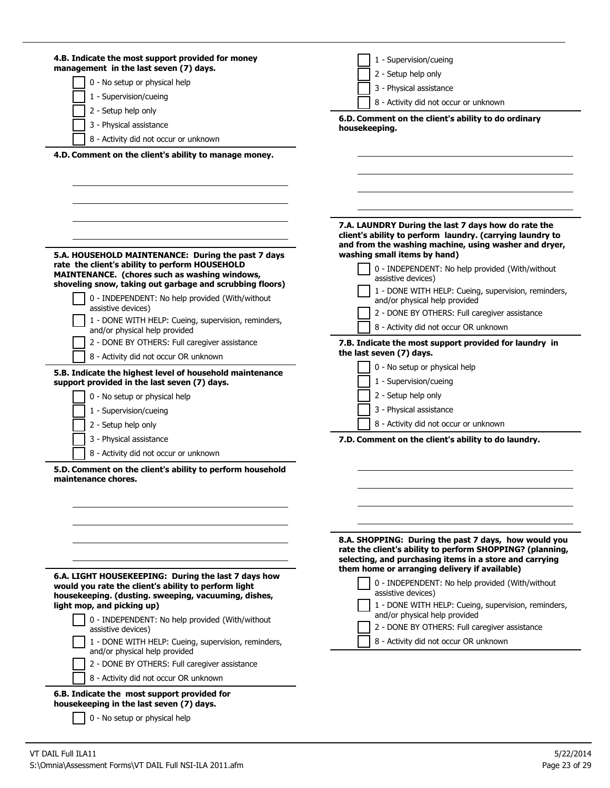| 4.B. Indicate the most support provided for money<br>management in the last seven (7) days.<br>0 - No setup or physical help<br>1 - Supervision/cueing<br>2 - Setup help only<br>3 - Physical assistance<br>8 - Activity did not occur or unknown<br>4.D. Comment on the client's ability to manage money.                                                                                                                                                                                                                                                                                                                                          | 1 - Supervision/cueing<br>2 - Setup help only<br>3 - Physical assistance<br>8 - Activity did not occur or unknown<br>6.D. Comment on the client's ability to do ordinary<br>housekeeping.                                                                                                                                                                                                                                                                                                                                                                                                                                                                               |
|-----------------------------------------------------------------------------------------------------------------------------------------------------------------------------------------------------------------------------------------------------------------------------------------------------------------------------------------------------------------------------------------------------------------------------------------------------------------------------------------------------------------------------------------------------------------------------------------------------------------------------------------------------|-------------------------------------------------------------------------------------------------------------------------------------------------------------------------------------------------------------------------------------------------------------------------------------------------------------------------------------------------------------------------------------------------------------------------------------------------------------------------------------------------------------------------------------------------------------------------------------------------------------------------------------------------------------------------|
| 5.A. HOUSEHOLD MAINTENANCE: During the past 7 days<br>rate the client's ability to perform HOUSEHOLD<br>MAINTENANCE. (chores such as washing windows,<br>shoveling snow, taking out garbage and scrubbing floors)<br>0 - INDEPENDENT: No help provided (With/without<br>assistive devices)<br>1 - DONE WITH HELP: Cueing, supervision, reminders,<br>and/or physical help provided<br>2 - DONE BY OTHERS: Full caregiver assistance<br>8 - Activity did not occur OR unknown<br>5.B. Indicate the highest level of household maintenance<br>support provided in the last seven (7) days.<br>0 - No setup or physical help<br>1 - Supervision/cueing | 7.A. LAUNDRY During the last 7 days how do rate the<br>client's ability to perform laundry. (carrying laundry to<br>and from the washing machine, using washer and dryer,<br>washing small items by hand)<br>0 - INDEPENDENT: No help provided (With/without<br>assistive devices)<br>1 - DONE WITH HELP: Cueing, supervision, reminders,<br>and/or physical help provided<br>2 - DONE BY OTHERS: Full caregiver assistance<br>8 - Activity did not occur OR unknown<br>7.B. Indicate the most support provided for laundry in<br>the last seven (7) days.<br>0 - No setup or physical help<br>1 - Supervision/cueing<br>2 - Setup help only<br>3 - Physical assistance |
| 2 - Setup help only<br>3 - Physical assistance<br>8 - Activity did not occur or unknown                                                                                                                                                                                                                                                                                                                                                                                                                                                                                                                                                             | 8 - Activity did not occur or unknown<br>7.D. Comment on the client's ability to do laundry.                                                                                                                                                                                                                                                                                                                                                                                                                                                                                                                                                                            |
| 5.D. Comment on the client's ability to perform household<br>maintenance chores.<br>6.A. LIGHT HOUSEKEEPING: During the last 7 days how<br>would you rate the client's ability to perform light<br>housekeeping. (dusting. sweeping, vacuuming, dishes,<br>light mop, and picking up)                                                                                                                                                                                                                                                                                                                                                               | 8.A. SHOPPING: During the past 7 days, how would you<br>rate the client's ability to perform SHOPPING? (planning,<br>selecting, and purchasing items in a store and carrying<br>them home or arranging delivery if available)<br>0 - INDEPENDENT: No help provided (With/without<br>assistive devices)<br>1 - DONE WITH HELP: Cueing, supervision, reminders,                                                                                                                                                                                                                                                                                                           |
| 0 - INDEPENDENT: No help provided (With/without<br>assistive devices)<br>1 - DONE WITH HELP: Cueing, supervision, reminders,<br>and/or physical help provided<br>2 - DONE BY OTHERS: Full caregiver assistance                                                                                                                                                                                                                                                                                                                                                                                                                                      | and/or physical help provided<br>2 - DONE BY OTHERS: Full caregiver assistance<br>8 - Activity did not occur OR unknown                                                                                                                                                                                                                                                                                                                                                                                                                                                                                                                                                 |
| 8 - Activity did not occur OR unknown<br>6.B. Indicate the most support provided for<br>housekeeping in the last seven (7) days.<br>0 - No setup or physical help                                                                                                                                                                                                                                                                                                                                                                                                                                                                                   |                                                                                                                                                                                                                                                                                                                                                                                                                                                                                                                                                                                                                                                                         |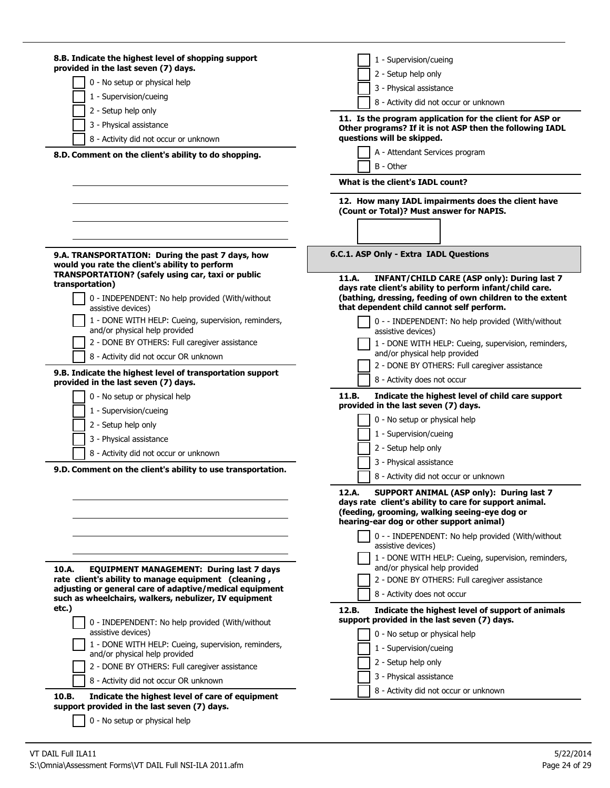| 8.B. Indicate the highest level of shopping support                                                                                           | 1 - Supervision/cueing                                                                                                                                                                                                     |
|-----------------------------------------------------------------------------------------------------------------------------------------------|----------------------------------------------------------------------------------------------------------------------------------------------------------------------------------------------------------------------------|
| provided in the last seven (7) days.                                                                                                          | 2 - Setup help only                                                                                                                                                                                                        |
| 0 - No setup or physical help                                                                                                                 | 3 - Physical assistance                                                                                                                                                                                                    |
| 1 - Supervision/cueing                                                                                                                        | 8 - Activity did not occur or unknown                                                                                                                                                                                      |
| 2 - Setup help only                                                                                                                           | 11. Is the program application for the client for ASP or                                                                                                                                                                   |
| 3 - Physical assistance                                                                                                                       | Other programs? If it is not ASP then the following IADL                                                                                                                                                                   |
| 8 - Activity did not occur or unknown                                                                                                         | questions will be skipped.                                                                                                                                                                                                 |
| 8.D. Comment on the client's ability to do shopping.                                                                                          | A - Attendant Services program                                                                                                                                                                                             |
|                                                                                                                                               | B - Other                                                                                                                                                                                                                  |
|                                                                                                                                               | What is the client's IADL count?                                                                                                                                                                                           |
|                                                                                                                                               | 12. How many IADL impairments does the client have<br>(Count or Total)? Must answer for NAPIS.                                                                                                                             |
| 9.A. TRANSPORTATION: During the past 7 days, how<br>would you rate the client's ability to perform                                            | 6.C.1. ASP Only - Extra IADL Questions                                                                                                                                                                                     |
| TRANSPORTATION? (safely using car, taxi or public<br>transportation)<br>0 - INDEPENDENT: No help provided (With/without<br>assistive devices) | 11.A.<br>INFANT/CHILD CARE (ASP only): During last 7<br>days rate client's ability to perform infant/child care.<br>(bathing, dressing, feeding of own children to the extent<br>that dependent child cannot self perform. |
| 1 - DONE WITH HELP: Cueing, supervision, reminders,<br>and/or physical help provided                                                          | 0 - - INDEPENDENT: No help provided (With/without<br>assistive devices)                                                                                                                                                    |
| 2 - DONE BY OTHERS: Full caregiver assistance                                                                                                 | 1 - DONE WITH HELP: Cueing, supervision, reminders,<br>and/or physical help provided                                                                                                                                       |
| 8 - Activity did not occur OR unknown                                                                                                         | 2 - DONE BY OTHERS: Full caregiver assistance                                                                                                                                                                              |
| 9.B. Indicate the highest level of transportation support<br>provided in the last seven (7) days.                                             | 8 - Activity does not occur                                                                                                                                                                                                |
|                                                                                                                                               |                                                                                                                                                                                                                            |
|                                                                                                                                               | 11.B.                                                                                                                                                                                                                      |
| 0 - No setup or physical help                                                                                                                 | Indicate the highest level of child care support<br>provided in the last seven (7) days.                                                                                                                                   |
| 1 - Supervision/cueing                                                                                                                        | 0 - No setup or physical help                                                                                                                                                                                              |
| 2 - Setup help only                                                                                                                           | 1 - Supervision/cueing                                                                                                                                                                                                     |
| 3 - Physical assistance                                                                                                                       | 2 - Setup help only                                                                                                                                                                                                        |
| 8 - Activity did not occur or unknown                                                                                                         | 3 - Physical assistance                                                                                                                                                                                                    |
| 9.D. Comment on the client's ability to use transportation.                                                                                   | 8 - Activity did not occur or unknown                                                                                                                                                                                      |
|                                                                                                                                               | 12.A.<br>SUPPORT ANIMAL (ASP only): During last 7<br>days rate client's ability to care for support animal.<br>(feeding, grooming, walking seeing-eye dog or<br>hearing-ear dog or other support animal)                   |
|                                                                                                                                               | 0 - - INDEPENDENT: No help provided (With/without<br>assistive devices)                                                                                                                                                    |
|                                                                                                                                               | 1 - DONE WITH HELP: Cueing, supervision, reminders,                                                                                                                                                                        |
| 10.A.<br><b>EQUIPMENT MANAGEMENT: During last 7 days</b>                                                                                      | and/or physical help provided                                                                                                                                                                                              |
| rate client's ability to manage equipment (cleaning,                                                                                          | 2 - DONE BY OTHERS: Full caregiver assistance                                                                                                                                                                              |
| adjusting or general care of adaptive/medical equipment<br>such as wheelchairs, walkers, nebulizer, IV equipment                              | 8 - Activity does not occur                                                                                                                                                                                                |
| etc.)                                                                                                                                         | 12.B.<br>Indicate the highest level of support of animals                                                                                                                                                                  |
| 0 - INDEPENDENT: No help provided (With/without                                                                                               | support provided in the last seven (7) days.                                                                                                                                                                               |
| assistive devices)                                                                                                                            | 0 - No setup or physical help                                                                                                                                                                                              |
| 1 - DONE WITH HELP: Cueing, supervision, reminders,<br>and/or physical help provided                                                          | 1 - Supervision/cueing                                                                                                                                                                                                     |
| 2 - DONE BY OTHERS: Full caregiver assistance                                                                                                 | 2 - Setup help only                                                                                                                                                                                                        |
| 8 - Activity did not occur OR unknown                                                                                                         | 3 - Physical assistance                                                                                                                                                                                                    |
| 10.B.<br>Indicate the highest level of care of equipment                                                                                      | 8 - Activity did not occur or unknown                                                                                                                                                                                      |
| support provided in the last seven (7) days.                                                                                                  |                                                                                                                                                                                                                            |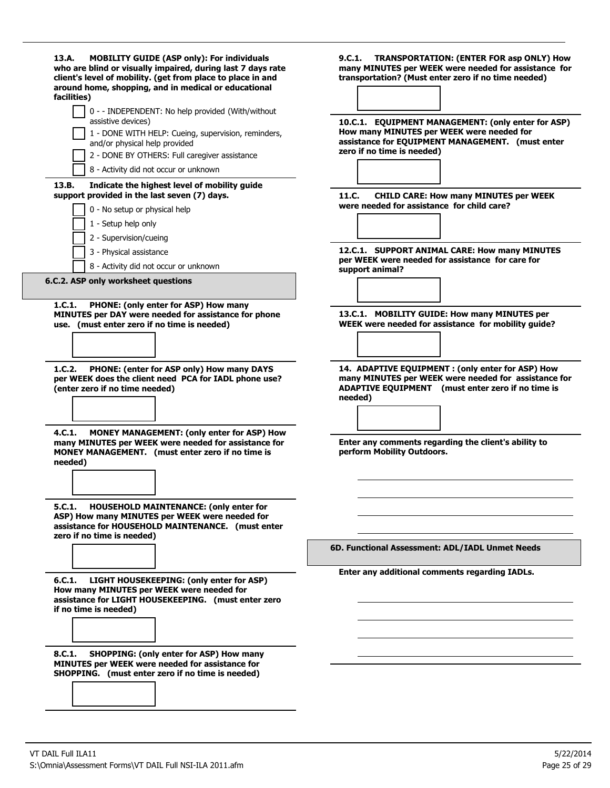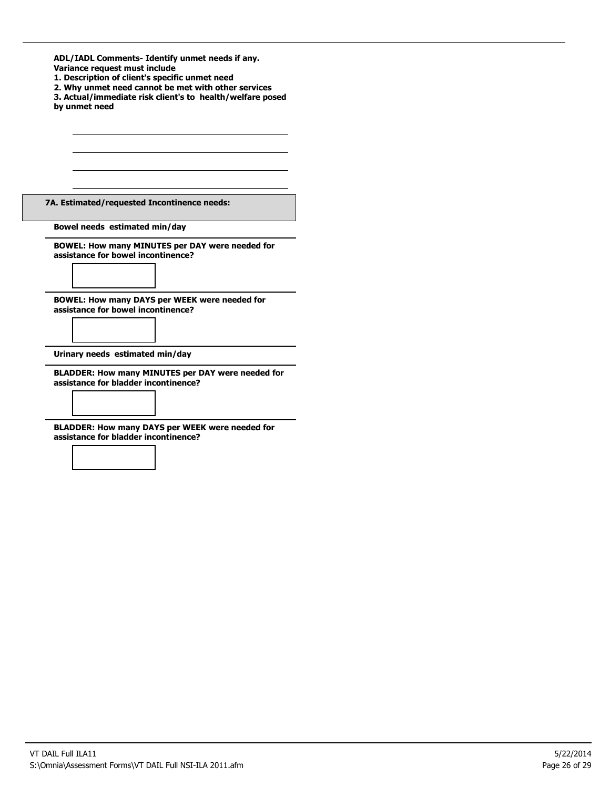| ADL/IADL Comments- Identify unmet needs if any. |  |
|-------------------------------------------------|--|
| Variance request must include                   |  |

- **1. Description of client's specific unmet need**
- **2. Why unmet need cannot be met with other services**
- **3. Actual/immediate risk client's to health/welfare posed by unmet need**

**7A. Estimated/requested Incontinence needs:**

**Bowel needs estimated min/day**

**BOWEL: How many MINUTES per DAY were needed for assistance for bowel incontinence?**

**BOWEL: How many DAYS per WEEK were needed for assistance for bowel incontinence?**

**Urinary needs estimated min/day**

**BLADDER: How many MINUTES per DAY were needed for assistance for bladder incontinence?**

**BLADDER: How many DAYS per WEEK were needed for assistance for bladder incontinence?**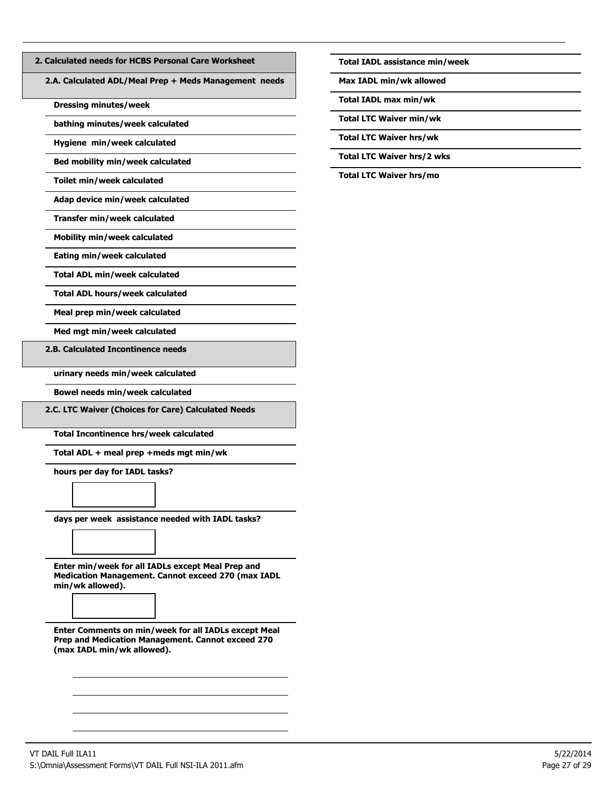| 2. Calculated needs for HCBS Personal Care Worksheet |  |
|------------------------------------------------------|--|
|------------------------------------------------------|--|

**2.A. Calculated ADL/Meal Prep + Meds Management needs**

**Dressing minutes/week**

**bathing minutes/week calculated**

**Hygiene min/week calculated**

**Bed mobility min/week calculated**

**Toilet min/week calculated**

**Adap device min/week calculated**

**Transfer min/week calculated**

**Mobility min/week calculated**

**Eating min/week calculated**

**Total ADL min/week calculated**

**Total ADL hours/week calculated**

**Meal prep min/week calculated**

**Med mgt min/week calculated**

**2.B. Calculated Incontinence needs**

**urinary needs min/week calculated**

**Bowel needs min/week calculated**

**2.C. LTC Waiver (Choices for Care) Calculated Needs**

**Total Incontinence hrs/week calculated**

**Total ADL + meal prep +meds mgt min/wk**

**hours per day for IADL tasks?**

**days per week assistance needed with IADL tasks?**

**Enter min/week for all IADLs except Meal Prep and Medication Management. Cannot exceed 270 (max IADL min/wk allowed).**

**Enter Comments on min/week for all IADLs except Meal Prep and Medication Management. Cannot exceed 270 (max IADL min/wk allowed).**

**Total IADL assistance min/week**

**Max IADL min/wk allowed**

**Total IADL max min/wk**

**Total LTC Waiver min/wk**

**Total LTC Waiver hrs/wk**

**Total LTC Waiver hrs/2 wks**

**Total LTC Waiver hrs/mo**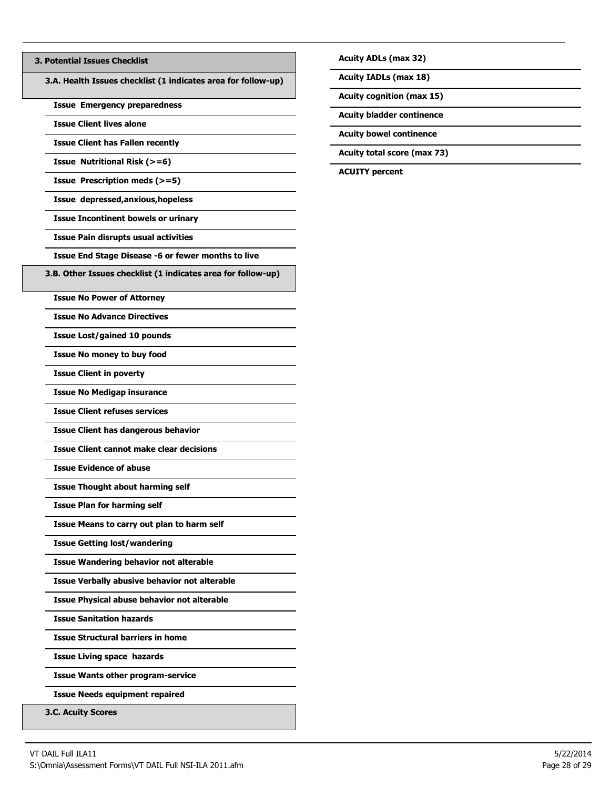## **3. Potential Issues Checklist**

**3.A. Health Issues checklist (1 indicates area for follow-up)**

**Issue Emergency preparedness**

**Issue Client lives alone**

**Issue Client has Fallen recently**

**Issue Nutritional Risk (>=6)**

**Issue Prescription meds (>=5)**

**Issue depressed,anxious,hopeless**

**Issue Incontinent bowels or urinary**

**Issue Pain disrupts usual activities**

**Issue End Stage Disease -6 or fewer months to live**

**3.B. Other Issues checklist (1 indicates area for follow-up)**

**Issue No Power of Attorney**

**Issue No Advance Directives**

**Issue Lost/gained 10 pounds**

**Issue No money to buy food**

**Issue Client in poverty**

**Issue No Medigap insurance**

**Issue Client refuses services**

**Issue Client has dangerous behavior**

**Issue Client cannot make clear decisions**

**Issue Evidence of abuse**

**Issue Thought about harming self**

**Issue Plan for harming self**

**Issue Means to carry out plan to harm self**

**Issue Getting lost/wandering**

**Issue Wandering behavior not alterable**

**Issue Verbally abusive behavior not alterable**

**Issue Physical abuse behavior not alterable**

**Issue Sanitation hazards**

**Issue Structural barriers in home**

**Issue Living space hazards**

**Issue Wants other program-service**

**Issue Needs equipment repaired**

**3.C. Acuity Scores**

**Acuity ADLs (max 32)**

**Acuity IADLs (max 18)**

**Acuity cognition (max 15)**

**Acuity bladder continence**

**Acuity bowel continence**

**Acuity total score (max 73)**

**ACUITY percent**